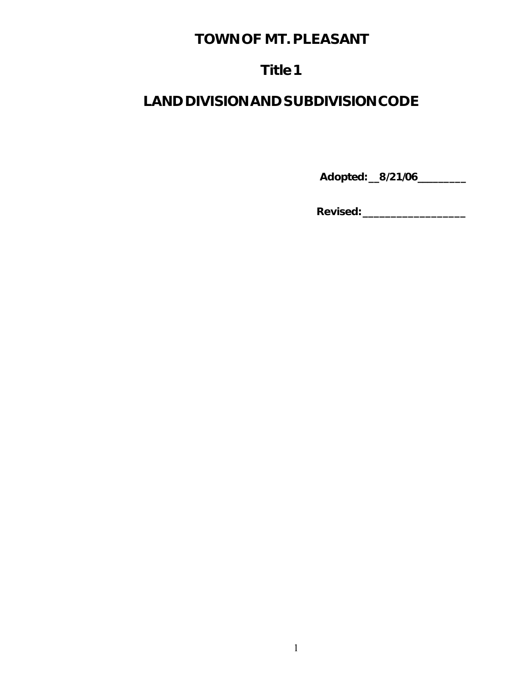# **TOWN OF MT. PLEASANT**

# **Title 1**

# **LAND DIVISION AND SUBDIVISION CODE**

**Adopted: \_\_8/21/06\_\_\_\_\_\_\_\_\_**

**Revised: \_\_\_\_\_\_\_\_\_\_\_\_\_\_\_\_\_\_**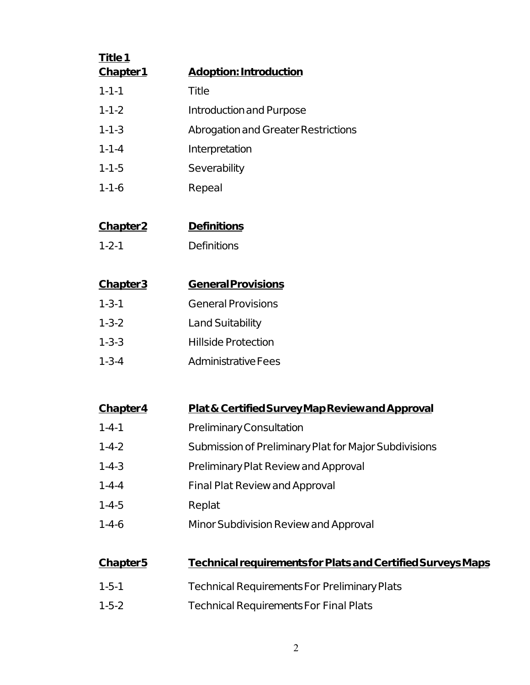| Title 1     |                                            |
|-------------|--------------------------------------------|
| Chapter1    | <b>Adoption: Introduction</b>              |
| $1 - 1 - 1$ | Title                                      |
| $1 - 1 - 2$ | Introduction and Purpose                   |
| $1 - 1 - 3$ | <b>Abrogation and Greater Restrictions</b> |
| $1 - 1 - 4$ | Interpretation                             |
| $1 - 1 - 5$ | Severability                               |
| $1 - 1 - 6$ | Repeal                                     |

# **Chapter 2 Definitions**

1-2-1 Definitions

| <b>Chapter3</b> | <b>General Provisions</b>  |
|-----------------|----------------------------|
| $1 - 3 - 1$     | <b>General Provisions</b>  |
| $1 - 3 - 2$     | <b>Land Suitability</b>    |
| $1 - 3 - 3$     | <b>Hillside Protection</b> |
| $1 - 3 - 4$     | Administrative Fees        |

### **Chapter 4 Plat & Certified Survey Map Review and Approval**

- 1-4-1 Preliminary Consultation
- 1-4-2 Submission of Preliminary Plat for Major Subdivisions
- 1-4-3 Preliminary Plat Review and Approval
- 1-4-4 Final Plat Review and Approval
- 1-4-5 Replat
- 1-4-6 Minor Subdivision Review and Approval

### **Chapter 5 Technical requirements for Plats and Certified Surveys Maps**

- 1-5-1 Technical Requirements For Preliminary Plats
- 1-5-2 Technical Requirements For Final Plats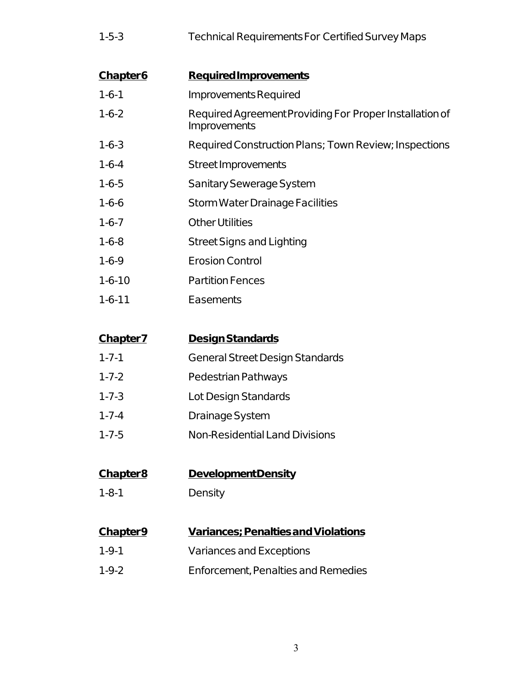| $1 - 5 - 3$ | Technical Requirements For Certified Survey Maps |
|-------------|--------------------------------------------------|
|             |                                                  |

| <b>Required Improvements</b>                                            |
|-------------------------------------------------------------------------|
| Improvements Required                                                   |
| Required Agreement Providing For Proper Installation of<br>Improvements |
| Required Construction Plans; Town Review; Inspections                   |
| Street Improvements                                                     |
| Sanitary Sewerage System                                                |
| Storm Water Drainage Facilities                                         |
| Other Utilities                                                         |
| <b>Street Signs and Lighting</b>                                        |
| <b>Erosion Control</b>                                                  |
| <b>Partition Fences</b>                                                 |
| Easements                                                               |
|                                                                         |

| <b>Chapter7</b> | Design Standards                       |
|-----------------|----------------------------------------|
| $1 - 7 - 1$     | <b>General Street Design Standards</b> |
| $1 - 7 - 2$     | Pedestrian Pathways                    |
| $1 - 7 - 3$     | Lot Design Standards                   |
| $1 - 7 - 4$     | Drainage System                        |
| $1 - 7 - 5$     | <b>Non-Residential Land Divisions</b>  |

# **Chapter 8 Development Density**

1-8-1 Density

# **Chapter 9 Variances; Penalties and Violations**

- 1-9-1 Variances and Exceptions
- 1-9-2 Enforcement, Penalties and Remedies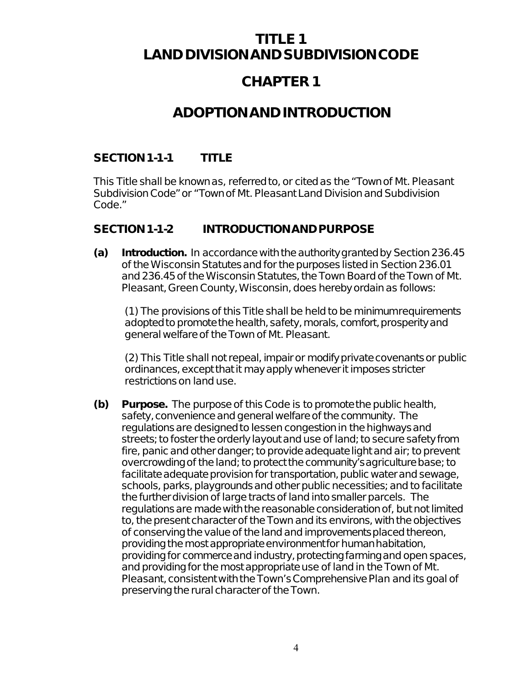# **TITLE 1 LAND DIVISION AND SUBDIVISION CODE**

# **CHAPTER 1**

# **ADOPTION AND INTRODUCTION**

### **SECTION 1-1-1 TITLE**

This Title shall be known as, referred to, or cited as the "Town of Mt. Pleasant Subdivision Code" or "Town of Mt. Pleasant Land Division and Subdivision Code."

### **SECTION1-1-2 INTRODUCTION AND PURPOSE**

**(a) Introduction.** In accordance with the authority granted by Section 236.45 of the Wisconsin Statutes and for the purposes listed in Section 236.01 and 236.45 of the Wisconsin Statutes, the Town Board of the Town of Mt. Pleasant, Green County, Wisconsin, does hereby ordain as follows:

(1) The provisions of this Title shall be held to be minimum requirements adopted to promote the health, safety, morals, comfort, prosperity and general welfare of the Town of Mt. Pleasant.

(2) This Title shall not repeal, impair or modify private covenants or public ordinances, except that it may apply whenever it imposes stricter restrictions on land use.

**(b) Purpose.** The purpose of this Code is to promote the public health, safety, convenience and general welfare of the community. The regulations are designed to lessen congestion in the highways and streets; to foster the orderly layout and use of land; to secure safety from fire, panic and other danger; to provide adequate light and air; to prevent overcrowding of the land; to protect the community's agriculture base; to facilitate adequate provision for transportation, public water and sewage, schools, parks, playgrounds and other public necessities; and to facilitate the further division of large tracts of land into smaller parcels. The regulations are made with the reasonable consideration of, but not limited to, the present character of the Town and its environs, with the objectives of conserving the value of the land and improvements placed thereon, providing the most appropriate environment for human habitation, providing for commerce and industry, protecting farming and open spaces, and providing for the most appropriate use of land in the Town of Mt. Pleasant, consistent with the Town's Comprehensive Plan and its goal of preserving the rural character of the Town.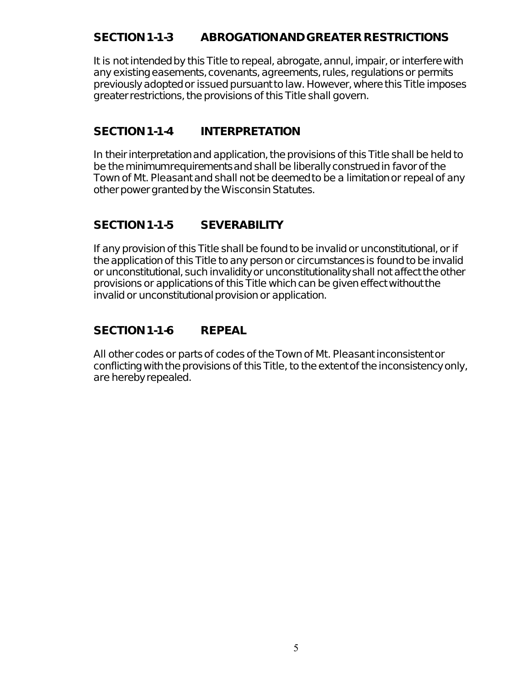### **SECTION 1-1-3 ABROGATION AND GREATER RESTRICTIONS**

It is not intended by this Title to repeal, abrogate, annul, impair, or interfere with any existing easements, covenants, agreements, rules, regulations or permits previously adopted or issued pursuant to law. However, where this Title imposes greater restrictions, the provisions of this Title shall govern.

### **SECTION 1-1-4 INTERPRETATION**

In their interpretation and application, the provisions of this Title shall be held to be the minimum requirements and shall be liberally construed in favor of the Town of Mt. Pleasant and shall not be deemed to be a limitation or repeal of any other power granted by the Wisconsin Statutes.

# **SECTION 1-1-5 SEVERABILITY**

If any provision of this Title shall be found to be invalid or unconstitutional, or if the application of this Title to any person or circumstances is found to be invalid or unconstitutional, such invalidity or unconstitutionality shall not affect the other provisions or applications of this Title which can be given effect without the invalid or unconstitutional provision or application.

# **SECTION 1-1-6 REPEAL**

All other codes or parts of codes of the Town of Mt. Pleasant inconsistent or conflicting with the provisions of this Title, to the extent of the inconsistency only, are hereby repealed.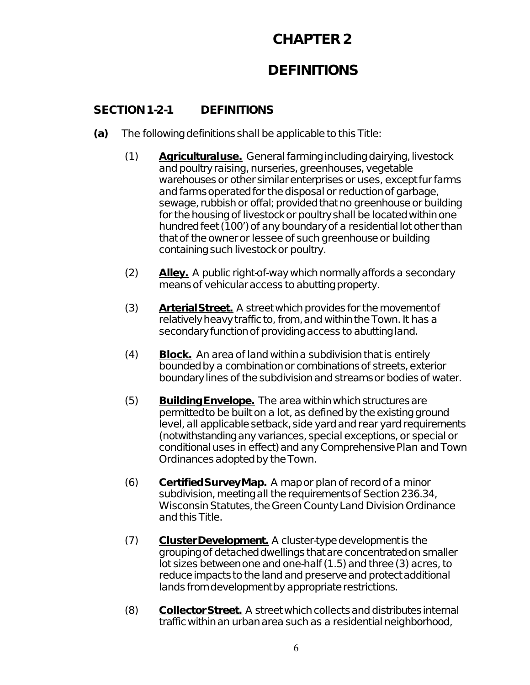# **DEFINITIONS**

### **SECTION 1-2-1 DEFINITIONS**

- **(a)** The following definitions shall be applicable to this Title:
	- (1) **Agricultural use.** General farming including dairying, livestock and poultry raising, nurseries, greenhouses, vegetable warehouses or other similar enterprises or uses, except fur farms and farms operated for the disposal or reduction of garbage, sewage, rubbish or offal; provided that no greenhouse or building for the housing of livestock or poultry shall be located within one hundred feet (100') of any boundary of a residential lot other than that of the owner or lessee of such greenhouse or building containing such livestock or poultry.
	- (2) **Alley.** A public right-of-way which normally affords a secondary means of vehicular access to abutting property.
	- (3) **Arterial Street.** A street which provides for the movement of relatively heavy traffic to, from, and within the Town. It has a secondary function of providing access to abutting land.
	- (4) **Block.** An area of land within a subdivision that is entirely bounded by a combination or combinations of streets, exterior boundary lines of the subdivision and streams or bodies of water.
	- (5) **Building Envelope.** The area within which structures are permitted to be built on a lot, as defined by the existing ground level, all applicable setback, side yard and rear yard requirements (notwithstanding any variances, special exceptions, or special or conditional uses in effect) and any Comprehensive Plan and Town Ordinances adopted by the Town.
	- (6) **Certified Survey Map.** A map or plan of record of a minor subdivision, meeting all the requirements of Section 236.34, Wisconsin Statutes, the Green County Land Division Ordinance and this Title.
	- (7) Cluster Development. A cluster-type development is the grouping of detached dwellings that are concentrated on smaller lot sizes between one and one-half (1.5) and three (3) acres, to reduce impacts to the land and preserve and protect additional lands from development by appropriate restrictions.
	- (8) **Collector Street.** A street which collects and distributes internal traffic within an urban area such as a residential neighborhood,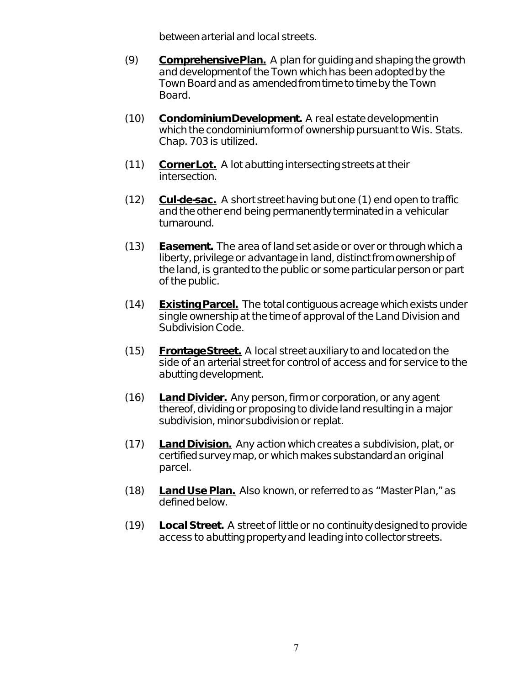between arterial and local streets.

- (9) **Comprehensive Plan.** A plan for guiding and shaping the growth and development of the Town which has been adopted by the Town Board and as amended from time to time by the Town Board.
- (10) **Condominium Development.** A real estate development in which the condominium form of ownership pursuant to Wis. Stats. Chap. 703 is utilized.
- (11) **Corner Lot.** A lot abutting intersecting streets at their intersection.
- (12) **Cul-de-sac.** A short street having but one (1) end open to traffic and the other end being permanently terminated in a vehicular turnaround.
- (13) **Easement.** The area of land set aside or over or through which a liberty, privilege or advantage in land, distinct from ownership of the land, is granted to the public or some particular person or part of the public.
- (14) **Existing Parcel.** The total contiguous acreage which exists under single ownership at the time of approval of the Land Division and Subdivision Code.
- (15) **Frontage Street.** A local street auxiliary to and located on the side of an arterial street for control of access and for service to the abutting development.
- (16) **Land Divider.** Any person, firm or corporation, or any agent thereof, dividing or proposing to divide land resulting in a major subdivision, minor subdivision or replat.
- (17) **Land Division.** Any action which creates a subdivision, plat, or certified survey map, or which makes substandard an original parcel.
- (18) **Land Use Plan.** Also known, or referred to as "Master Plan," as defined below.
- (19) **Local Street.** A street of little or no continuity designed to provide access to abutting property and leading into collector streets.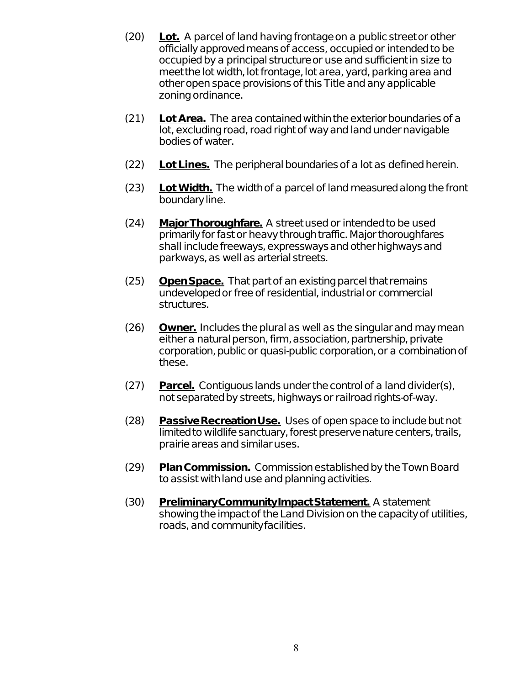- (20) **Lot.** A parcel of land having frontage on a public street or other officially approved means of access, occupied or intended to be occupied by a principal structure or use and sufficient in size to meet the lot width, lot frontage, lot area, yard, parking area and other open space provisions of this Title and any applicable zoning ordinance.
- (21) **Lot Area.** The area contained within the exterior boundaries of a lot, excluding road, road right of way and land under navigable bodies of water.
- (22) **Lot Lines.** The peripheral boundaries of a lot as defined herein.
- (23) **Lot Width.** The width of a parcel of land measured along the front boundary line.
- (24) **Major Thoroughfare.** A street used or intended to be used primarily for fast or heavy through traffic. Major thoroughfares shall include freeways, expressways and other highways and parkways, as well as arterial streets.
- (25) **Open Space.** That part of an existing parcel that remains undeveloped or free of residential, industrial or commercial structures.
- (26) **Owner.** Includes the plural as well as the singular and may mean either a natural person, firm, association, partnership, private corporation, public or quasi-public corporation, or a combination of these.
- (27) **Parcel.** Contiguous lands under the control of a land divider(s), not separated by streets, highways or railroad rights-of-way.
- (28) **Passive Recreation Use.** Uses of open space to include but not limited to wildlife sanctuary, forest preserve nature centers, trails, prairie areas and similar uses.
- (29) **Plan Commission.** Commission established by the Town Board to assist with land use and planning activities.
- (30) **Preliminary Community Impact Statement.** A statement showing the impact of the Land Division on the capacity of utilities, roads, and community facilities.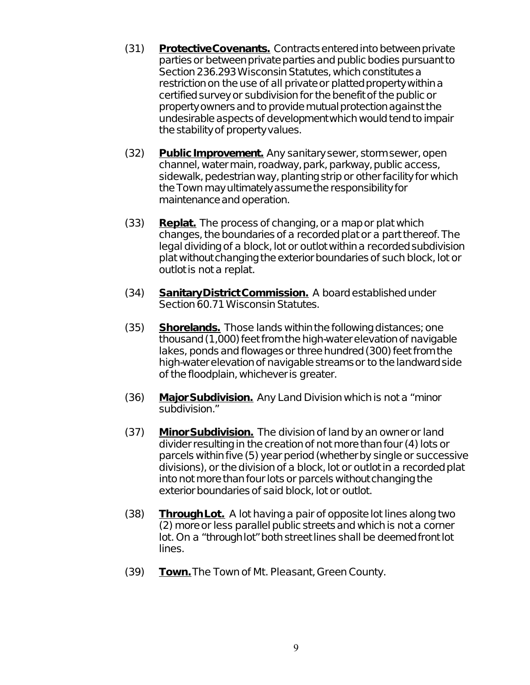- (31) **Protective Covenants.** Contracts entered into between private parties or between private parties and public bodies pursuant to Section 236.293 Wisconsin Statutes, which constitutes a restriction on the use of all private or platted property within a certified survey or subdivision for the benefit of the public or property owners and to provide mutual protection against the undesirable aspects of development which would tend to impair the stability of property values.
- (32) **Public Improvement.** Any sanitary sewer, storm sewer, open channel, water main, roadway, park, parkway, public access, sidewalk, pedestrian way, planting strip or other facility for which the Town may ultimately assume the responsibility for maintenance and operation.
- (33) **Replat.** The process of changing, or a map or plat which changes, the boundaries of a recorded plat or a part thereof. The legal dividing of a block, lot or outlot within a recorded subdivision plat without changing the exterior boundaries of such block, lot or outlot is not a replat.
- (34) **Sanitary District Commission.** A board established under Section 60.71 Wisconsin Statutes.
- (35) **Shorelands.** Those lands within the following distances; one thousand (1,000) feet from the high-water elevation of navigable lakes, ponds and flowages or three hundred (300) feet from the high-water elevation of navigable streams or to the landward side of the floodplain, whichever is greater.
- (36) **Major Subdivision.** Any Land Division which is not a "minor subdivision."
- (37) **Minor Subdivision.** The division of land by an owner or land divider resulting in the creation of not more than four (4) lots or parcels within five (5) year period (whether by single or successive divisions), or the division of a block, lot or outlot in a recorded plat into not more than four lots or parcels without changing the exterior boundaries of said block, lot or outlot.
- (38) **Through Lot.** A lot having a pair of opposite lot lines along two (2) more or less parallel public streets and which is not a corner lot. On a "through lot" both street lines shall be deemed front lot lines.
- (39) **Town.** The Town of Mt. Pleasant, Green County.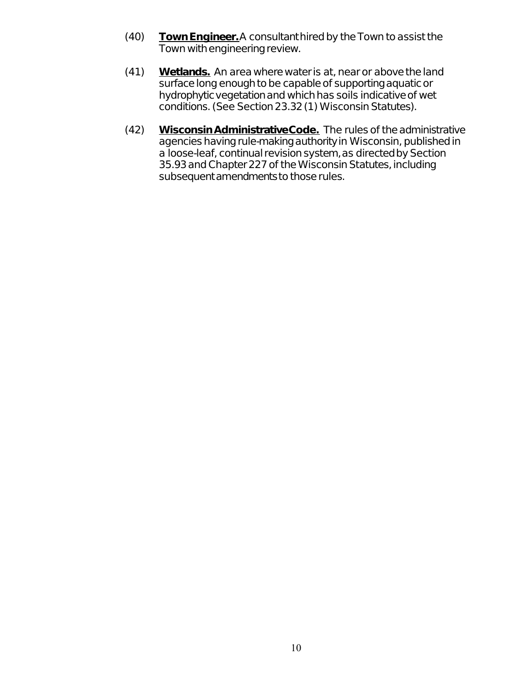- (40) **Town Engineer.** A consultant hired by the Town to assist the Town with engineering review.
- (41) **Wetlands.** An area where water is at, near or above the land surface long enough to be capable of supporting aquatic or hydrophytic vegetation and which has soils indicative of wet conditions. (See Section 23.32 (1) Wisconsin Statutes).
- (42) **Wisconsin Administrative Code.** The rules of the administrative agencies having rule-making authority in Wisconsin, published in a loose-leaf, continual revision system, as directed by Section 35.93 and Chapter 227 of the Wisconsin Statutes, including subsequent amendments to those rules.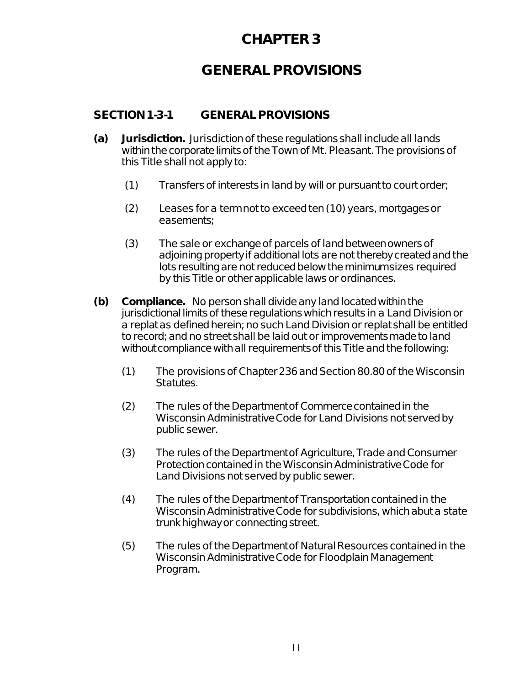# **GENERAL PROVISIONS**

### **SECTION 1-3-1 GENERAL PROVISIONS**

- **(a) Jurisdiction.** Jurisdiction of these regulations shall include all lands within the corporate limits of the Town of Mt. Pleasant. The provisions of this Title shall not apply to:
	- (1) Transfers of interests in land by will or pursuant to court order;
	- (2) Leases for a term not to exceed ten (10) years, mortgages or easements;
	- (3) The sale or exchange of parcels of land between owners of adjoining property if additional lots are not thereby created and the lots resulting are not reduced below the minimum sizes required by this Title or other applicable laws or ordinances.
- **(b) Compliance.** No person shall divide any land located within the jurisdictional limits of these regulations which results in a Land Division or a replat as defined herein; no such Land Division or replat shall be entitled to record; and no street shall be laid out or improvements made to land without compliance with all requirements of this Title and the following:
	- (1) The provisions of Chapter 236 and Section 80.80 of the Wisconsin Statutes.
	- (2) The rules of the Department of Commerce contained in the Wisconsin Administrative Code for Land Divisions not served by public sewer.
	- (3) The rules of the Department of Agriculture, Trade and Consumer Protection contained in the Wisconsin Administrative Code for Land Divisions not served by public sewer.
	- (4) The rules of the Department of Transportation contained in the Wisconsin Administrative Code for subdivisions, which abut a state trunk highway or connecting street.
	- (5) The rules of the Department of Natural Resources contained in the Wisconsin Administrative Code for Floodplain Management Program.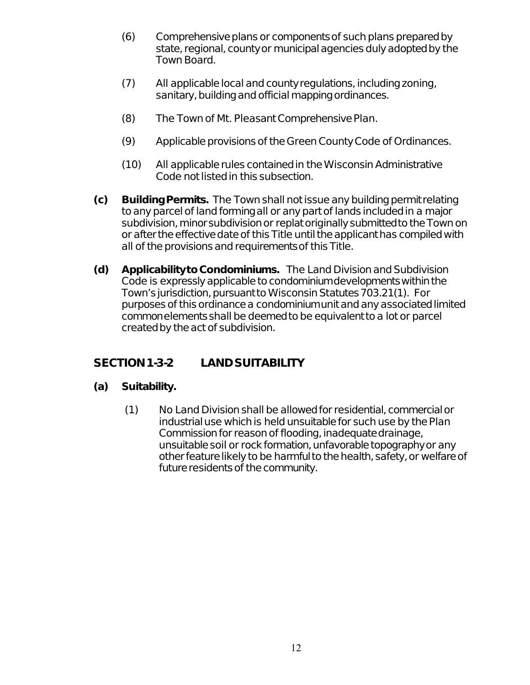- (6) Comprehensive plans or components of such plans prepared by state, regional, county or municipal agencies duly adopted by the Town Board.
- (7) All applicable local and county regulations, including zoning, sanitary, building and official mapping ordinances.
- (8) The Town of Mt. Pleasant Comprehensive Plan.
- (9) Applicable provisions of the Green County Code of Ordinances.
- (10) All applicable rules contained in the Wisconsin Administrative Code not listed in this subsection.
- **(c) Building Permits.** The Town shall not issue any building permit relating to any parcel of land forming all or any part of lands included in a major subdivision, minor subdivision or replat originally submitted to the Town on or after the effective date of this Title until the applicant has compiled with all of the provisions and requirements of this Title.
- **(d) Applicability to Condominiums.** The Land Division and Subdivision Code is expressly applicable to condominium developments within the Town's jurisdiction, pursuant to Wisconsin Statutes 703.21(1). For purposes of this ordinance a condominium unit and any associated limited common elements shall be deemed to be equivalent to a lot or parcel created by the act of subdivision.

### **SECTION 1-3-2 LAND SUITABILITY**

#### **(a) Suitability.**

(1) No Land Division shall be allowed for residential, commercial or industrial use which is held unsuitable for such use by the Plan Commission for reason of flooding, inadequate drainage, unsuitable soil or rock formation, unfavorable topography or any other feature likely to be harmful to the health, safety, or welfare of future residents of the community.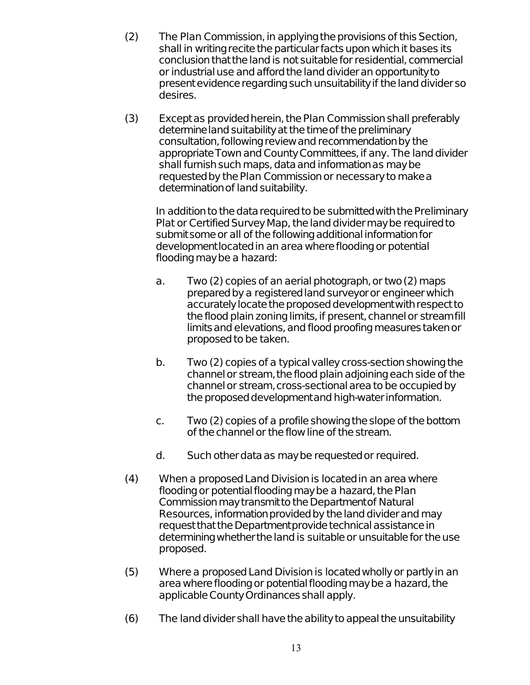- (2) The Plan Commission, in applying the provisions of this Section, shall in writing recite the particular facts upon which it bases its conclusion that the land is not suitable for residential, commercial or industrial use and afford the land divider an opportunity to present evidence regarding such unsuitability if the land divider so desires.
- (3) Except as provided herein, the Plan Commission shall preferably determine land suitability at the time of the preliminary consultation, following review and recommendation by the appropriate Town and County Committees, if any. The land divider shall furnish such maps, data and information as may be requested by the Plan Commission or necessary to make a determination of land suitability.

In addition to the data required to be submitted with the Preliminary Plat or Certified Survey Map, the land divider may be required to submit some or all of the following additional information for development located in an area where flooding or potential flooding may be a hazard:

- a. Two (2) copies of an aerial photograph, or two (2) maps prepared by a registered land surveyor or engineer which accurately locate the proposed development with respect to the flood plain zoning limits, if present, channel or stream fill limits and elevations, and flood proofing measures taken or proposed to be taken.
- b. Two (2) copies of a typical valley cross-section showing the channel or stream, the flood plain adjoining each side of the channel or stream, cross-sectional area to be occupied by the proposed development and high-water information.
- c. Two (2) copies of a profile showing the slope of the bottom of the channel or the flow line of the stream.
- d. Such other data as may be requested or required.
- (4) When a proposed Land Division is located in an area where flooding or potential flooding may be a hazard, the Plan Commission may transmit to the Department of Natural Resources, information provided by the land divider and may request that the Department provide technical assistance in determining whether the land is suitable or unsuitable for the use proposed.
- (5) Where a proposed Land Division is located wholly or partly in an area where flooding or potential flooding may be a hazard, the applicable County Ordinances shall apply.
- (6) The land divider shall have the ability to appeal the unsuitability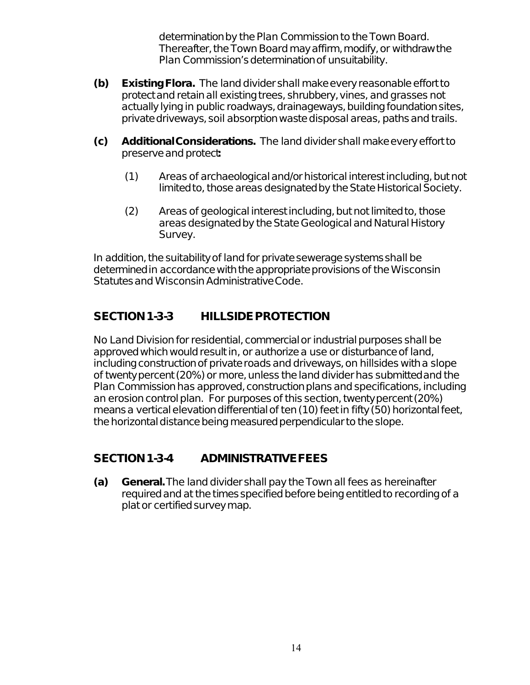determination by the Plan Commission to the Town Board. Thereafter, the Town Board may affirm, modify, or withdraw the Plan Commission's determination of unsuitability.

- **(b) Existing Flora.** The land divider shall make every reasonable effort to protect and retain all existing trees, shrubbery, vines, and grasses not actually lying in public roadways, drainageways, building foundation sites, private driveways, soil absorption waste disposal areas, paths and trails.
- **(c) Additional Considerations.** The land divider shall make every effort to preserve and protect**:**
	- (1) Areas of archaeological and/or historical interest including, but not limited to, those areas designated by the State Historical Society.
	- (2) Areas of geological interest including, but not limited to, those areas designated by the State Geological and Natural History Survey.

In addition, the suitability of land for private sewerage systems shall be determined in accordance with the appropriate provisions of the Wisconsin Statutes and Wisconsin Administrative Code.

### **SECTION 1-3-3 HILLSIDE PROTECTION**

No Land Division for residential, commercial or industrial purposes shall be approved which would result in, or authorize a use or disturbance of land, including construction of private roads and driveways, on hillsides with a slope of twenty percent (20%) or more, unless the land divider has submitted and the Plan Commission has approved, construction plans and specifications, including an erosion control plan. For purposes of this section, twenty percent (20%) means a vertical elevation differential of ten (10) feet in fifty (50) horizontal feet, the horizontal distance being measured perpendicular to the slope.

### **SECTION 1-3-4 ADMINISTRATIVE FEES**

**(a) General.** The land divider shall pay the Town all fees as hereinafter required and at the times specified before being entitled to recording of a plat or certified survey map.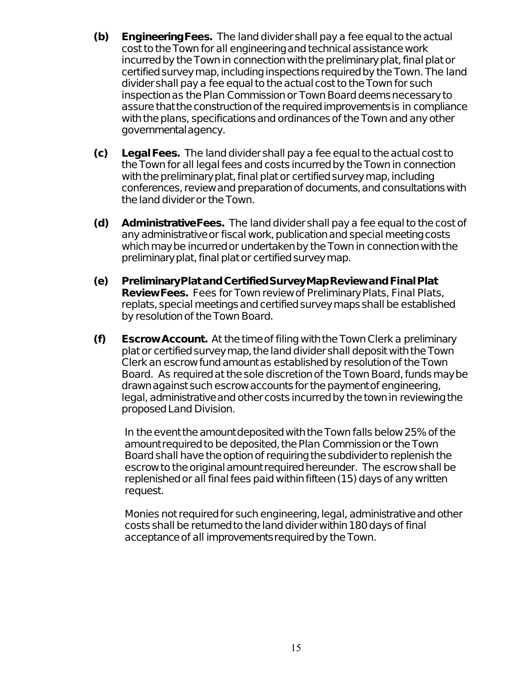- **(b) Engineering Fees.** The land divider shall pay a fee equal to the actual cost to the Town for all engineering and technical assistance work incurred by the Town in connection with the preliminary plat, final plat or certified survey map, including inspections required by the Town. The land divider shall pay a fee equal to the actual cost to the Town for such inspection as the Plan Commission or Town Board deems necessary to assure that the construction of the required improvements is in compliance with the plans, specifications and ordinances of the Town and any other governmental agency.
- **(c) Legal Fees.** The land divider shall pay a fee equal to the actual cost to the Town for all legal fees and costs incurred by the Town in connection with the preliminary plat, final plat or certified survey map, including conferences, review and preparation of documents, and consultations with the land divider or the Town.
- **(d) Administrative Fees.** The land divider shall pay a fee equal to the cost of any administrative or fiscal work, publication and special meeting costs which may be incurred or undertaken by the Town in connection with the preliminary plat, final plat or certified survey map.
- **(e) Preliminary Plat and Certified Survey Map Review and Final Plat Review Fees.** Fees for Town review of Preliminary Plats, Final Plats, replats, special meetings and certified survey maps shall be established by resolution of the Town Board.
- **(f) Escrow Account.** At the time of filing with the Town Clerk a preliminary plat or certified survey map, the land divider shall deposit with the Town Clerk an escrow fund amount as established by resolution of the Town Board. As required at the sole discretion of the Town Board, funds may be drawn against such escrow accounts for the payment of engineering, legal, administrative and other costs incurred by the town in reviewing the proposed Land Division.

In the event the amount deposited with the Town falls below 25% of the amount required to be deposited, the Plan Commission or the Town Board shall have the option of requiring the subdivider to replenish the escrow to the original amount required hereunder. The escrow shall be replenished or all final fees paid within fifteen (15) days of any written request.

Monies not required for such engineering, legal, administrative and other costs shall be returned to the land divider within 180 days of final acceptance of all improvements required by the Town.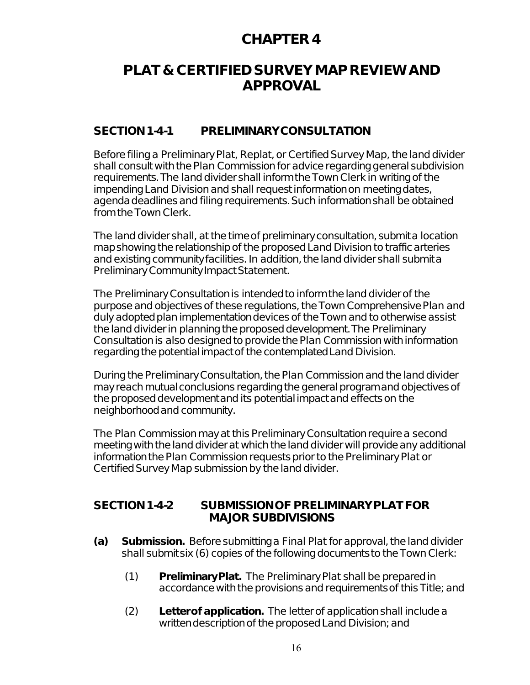# **PLAT & CERTIFIED SURVEY MAP REVIEW AND APPROVAL**

#### **SECTION 1-4-1 PRELIMINARY CONSULTATION**

Before filing a Preliminary Plat, Replat, or Certified Survey Map, the land divider shall consult with the Plan Commission for advice regarding general subdivision requirements. The land divider shall inform the Town Clerk in writing of the impending Land Division and shall request information on meeting dates, agenda deadlines and filing requirements. Such information shall be obtained from the Town Clerk.

The land divider shall, at the time of preliminary consultation, submit a location map showing the relationship of the proposed Land Division to traffic arteries and existing community facilities. In addition, the land divider shall submit a Preliminary Community Impact Statement.

The Preliminary Consultation is intended to inform the land divider of the purpose and objectives of these regulations, the Town Comprehensive Plan and duly adopted plan implementation devices of the Town and to otherwise assist the land divider in planning the proposed development. The Preliminary Consultation is also designed to provide the Plan Commission with information regarding the potential impact of the contemplated Land Division.

During the Preliminary Consultation, the Plan Commission and the land divider may reach mutual conclusions regarding the general program and objectives of the proposed development and its potential impact and effects on the neighborhood and community.

The Plan Commission may at this Preliminary Consultation require a second meeting with the land divider at which the land divider will provide any additional information the Plan Commission requests prior to the Preliminary Plat or Certified Survey Map submission by the land divider.

#### **SECTION 1-4-2 SUBMISSION OF PRELIMINARY PLAT FOR MAJOR SUBDIVISIONS**

- **(a) Submission.** Before submitting a Final Plat for approval, the land divider shall submit six (6) copies of the following documents to the Town Clerk:
	- (1) **Preliminary Plat.** The Preliminary Plat shall be prepared in accordance with the provisions and requirements of this Title; and
	- (2) **Letter of application.** The letter of application shall include a written description of the proposed Land Division; and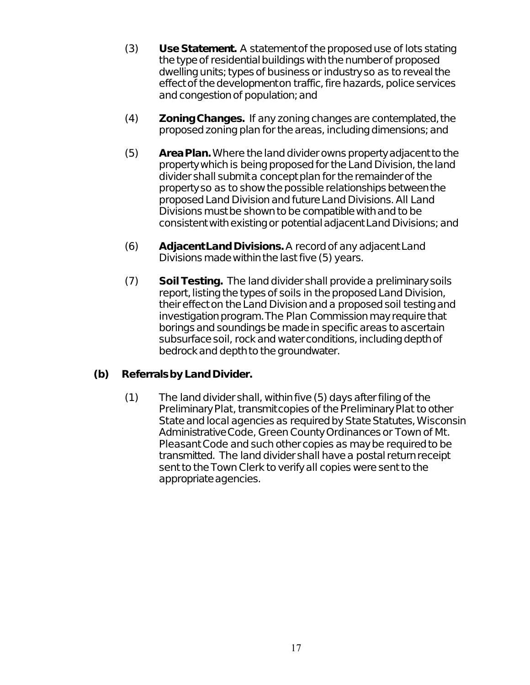- (3) **Use Statement.** A statement of the proposed use of lots stating the type of residential buildings with the number of proposed dwelling units; types of business or industry so as to reveal the effect of the development on traffic, fire hazards, police services and congestion of population; and
- (4) **Zoning Changes.** If any zoning changes are contemplated, the proposed zoning plan for the areas, including dimensions; and
- (5) **Area Plan.** Where the land divider owns property adjacent to the property which is being proposed for the Land Division, the land divider shall submit a concept plan for the remainder of the property so as to show the possible relationships between the proposed Land Division and future Land Divisions. All Land Divisions must be shown to be compatible with and to be consistent with existing or potential adjacent Land Divisions; and
- (6) **Adjacent Land Divisions.** A record of any adjacent Land Divisions made within the last five (5) years.
- (7) **Soil Testing.** The land divider shall provide a preliminary soils report, listing the types of soils in the proposed Land Division, their effect on the Land Division and a proposed soil testing and investigation program. The Plan Commission may require that borings and soundings be made in specific areas to ascertain subsurface soil, rock and water conditions, including depth of bedrock and depth to the groundwater.

#### **(b) Referrals by Land Divider.**

(1) The land divider shall, within five (5) days after filing of the Preliminary Plat, transmit copies of the Preliminary Plat to other State and local agencies as required by State Statutes, Wisconsin Administrative Code, Green County Ordinances or Town of Mt. Pleasant Code and such other copies as may be required to be transmitted. The land divider shall have a postal return receipt sent to the Town Clerk to verify all copies were sent to the appropriate agencies.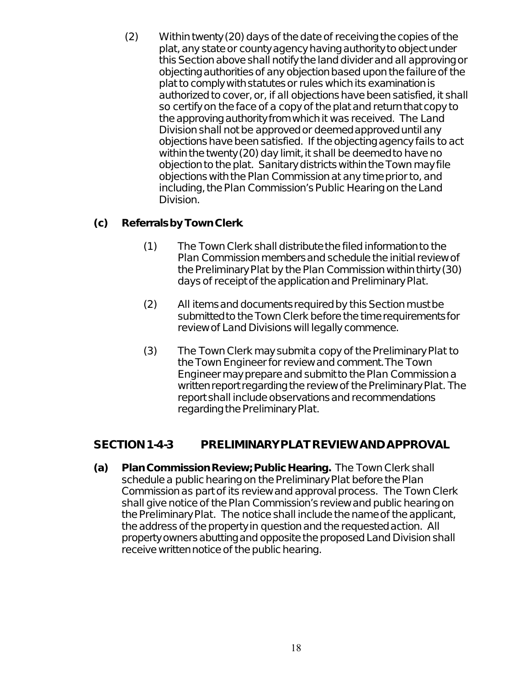(2) Within twenty (20) days of the date of receiving the copies of the plat, any state or county agency having authority to object under this Section above shall notify the land divider and all approving or objecting authorities of any objection based upon the failure of the plat to comply with statutes or rules which its examination is authorized to cover, or, if all objections have been satisfied, it shall so certify on the face of a copy of the plat and return that copy to the approving authority from which it was received. The Land Division shall not be approved or deemed approved until any objections have been satisfied. If the objecting agency fails to act within the twenty (20) day limit, it shall be deemed to have no objection to the plat. Sanitary districts within the Town may file objections with the Plan Commission at any time prior to, and including, the Plan Commission's Public Hearing on the Land Division.

#### **(c) Referrals by Town Clerk**.

- (1) The Town Clerk shall distribute the filed information to the Plan Commission members and schedule the initial review of the Preliminary Plat by the Plan Commission within thirty (30) days of receipt of the application and Preliminary Plat.
- (2) All items and documents required by this Section must be submitted to the Town Clerk before the time requirements for review of Land Divisions will legally commence.
- (3) The Town Clerk may submit a copy of the Preliminary Plat to the Town Engineer for review and comment. The Town Engineer may prepare and submit to the Plan Commission a written report regarding the review of the Preliminary Plat. The report shall include observations and recommendations regarding the Preliminary Plat.

### **SECTION 1-4-3 PRELIMINARY PLAT REVIEW AND APPROVAL**

**(a) Plan Commission Review; Public Hearing.** The Town Clerk shall schedule a public hearing on the Preliminary Plat before the Plan Commission as part of its review and approval process. The Town Clerk shall give notice of the Plan Commission's review and public hearing on the Preliminary Plat. The notice shall include the name of the applicant, the address of the property in question and the requested action. All property owners abutting and opposite the proposed Land Division shall receive written notice of the public hearing.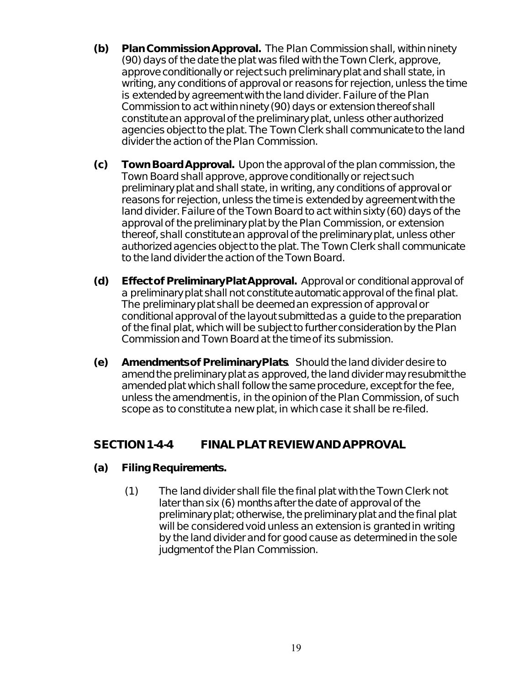- **(b) Plan Commission Approval.** The Plan Commission shall, within ninety (90) days of the date the plat was filed with the Town Clerk, approve, approve conditionally or reject such preliminary plat and shall state, in writing, any conditions of approval or reasons for rejection, unless the time is extended by agreement with the land divider. Failure of the Plan Commission to act within ninety (90) days or extension thereof shall constitute an approval of the preliminary plat, unless other authorized agencies object to the plat. The Town Clerk shall communicate to the land divider the action of the Plan Commission.
- **(c) Town Board Approval.** Upon the approval of the plan commission, the Town Board shall approve, approve conditionally or reject such preliminary plat and shall state, in writing, any conditions of approval or reasons for rejection, unless the time is extended by agreement with the land divider. Failure of the Town Board to act within sixty (60) days of the approval of the preliminary plat by the Plan Commission, or extension thereof, shall constitute an approval of the preliminary plat, unless other authorized agencies object to the plat. The Town Clerk shall communicate to the land divider the action of the Town Board.
- **(d) Effect of Preliminary Plat Approval.** Approval or conditional approval of a preliminary plat shall not constitute automatic approval of the final plat. The preliminary plat shall be deemed an expression of approval or conditional approval of the layout submitted as a guide to the preparation of the final plat, which will be subject to further consideration by the Plan Commission and Town Board at the time of its submission.
- **(e) Amendments of Preliminary Plats**. Should the land divider desire to amend the preliminary plat as approved, the land divider may resubmit the amended plat which shall follow the same procedure, except for the fee, unless the amendmentis, in the opinion of the Plan Commission, of such scope as to constitute a new plat, in which case it shall be re-filed.

### **SECTION 1-4-4 FINAL PLAT REVIEW AND APPROVAL**

#### **(a) Filing Requirements.**

(1) The land divider shall file the final plat with the Town Clerk not later than six (6) months after the date of approval of the preliminary plat; otherwise, the preliminary plat and the final plat will be considered void unless an extension is granted in writing by the land divider and for good cause as determined in the sole judgment of the Plan Commission.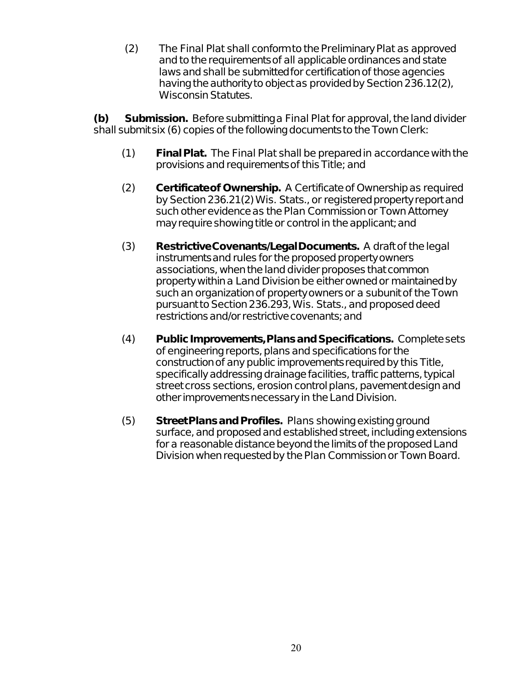(2) The Final Plat shall conform to the Preliminary Plat as approved and to the requirements of all applicable ordinances and state laws and shall be submitted for certification of those agencies having the authority to object as provided by Section 236.12(2), Wisconsin Statutes.

**(b) Submission.** Before submitting a Final Plat for approval, the land divider shall submit six (6) copies of the following documents to the Town Clerk:

- (1) **Final Plat.** The Final Plat shall be prepared in accordance with the provisions and requirements of this Title; and
- (2) **Certificate of Ownership.** A Certificate of Ownership as required by Section 236.21(2) Wis. Stats., or registered property report and such other evidence as the Plan Commission or Town Attorney may require showing title or control in the applicant; and
- (3) **Restrictive Covenants/Legal Documents.** A draft of the legal instruments and rules for the proposed property owners associations, when the land divider proposes that common property within a Land Division be either owned or maintained by such an organization of property owners or a subunit of the Town pursuant to Section 236.293, Wis. Stats., and proposed deed restrictions and/or restrictive covenants; and
- (4) **Public Improvements, Plans and Specifications.** Complete sets of engineering reports, plans and specifications for the construction of any public improvements required by this Title, specifically addressing drainage facilities, traffic patterns, typical street cross sections, erosion control plans, pavement design and other improvements necessary in the Land Division.
- (5) **Street Plans and Profiles.** Plans showing existing ground surface, and proposed and established street, including extensions for a reasonable distance beyond the limits of the proposed Land Division when requested by the Plan Commission or Town Board.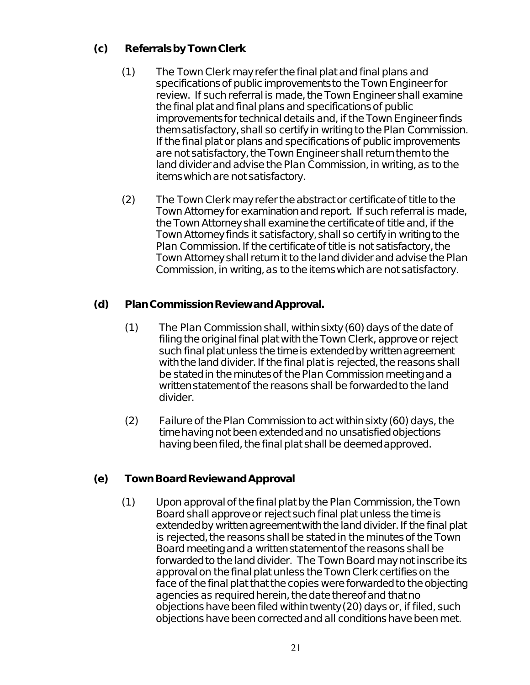#### **(c) Referrals by Town Clerk**.

- (1) The Town Clerk may refer the final plat and final plans and specifications of public improvements to the Town Engineer for review. If such referral is made, the Town Engineer shall examine the final plat and final plans and specifications of public improvements for technical details and, if the Town Engineer finds them satisfactory, shall so certify in writing to the Plan Commission. If the final plat or plans and specifications of public improvements are not satisfactory, the Town Engineer shall return them to the land divider and advise the Plan Commission, in writing, as to the items which are not satisfactory.
- (2) The Town Clerk may refer the abstract or certificate of title to the Town Attorney for examination and report. If such referral is made, the Town Attorney shall examine the certificate of title and, if the Town Attorney finds it satisfactory, shall so certify in writing to the Plan Commission. If the certificate of title is not satisfactory, the Town Attorney shall return it to the land divider and advise the Plan Commission, in writing, as to the items which are not satisfactory.

#### **(d) Plan Commission Review and Approval.**

- (1) The Plan Commission shall, within sixty (60) days of the date of filing the original final plat with the Town Clerk, approve or reject such final plat unless the time is extended by written agreement with the land divider. If the final plat is rejected, the reasons shall be stated in the minutes of the Plan Commission meeting and a written statement of the reasons shall be forwarded to the land divider.
- (2) Failure of the Plan Commission to act within sixty (60) days, the time having not been extended and no unsatisfied objections having been filed, the final plat shall be deemed approved.

#### **(e) Town Board Review and Approval**

(1) Upon approval of the final plat by the Plan Commission, the Town Board shall approve or reject such final plat unless the time is extended by written agreement with the land divider. If the final plat is rejected, the reasons shall be stated in the minutes of the Town Board meeting and a written statement of the reasons shall be forwarded to the land divider. The Town Board may not inscribe its approval on the final plat unless the Town Clerk certifies on the face of the final plat that the copies were forwarded to the objecting agencies as required herein, the date thereof and that no objections have been filed within twenty (20) days or, if filed, such objections have been corrected and all conditions have been met.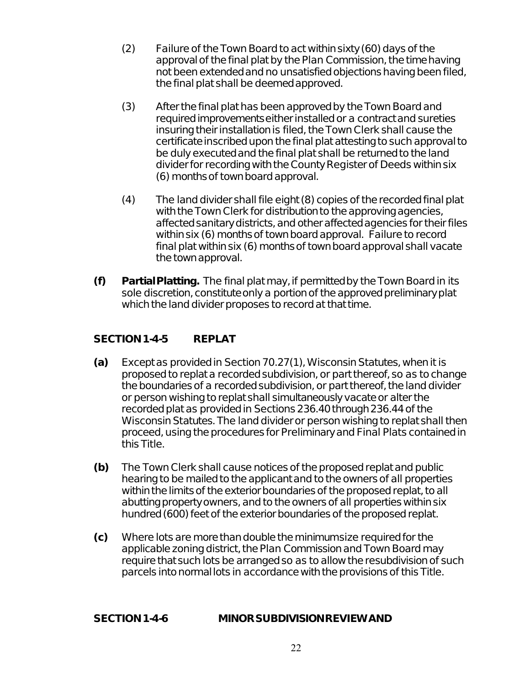- (2) Failure of the Town Board to act within sixty (60) days of the approval of the final plat by the Plan Commission, the time having not been extended and no unsatisfied objections having been filed, the final plat shall be deemed approved.
- (3) After the final plat has been approved by the Town Board and required improvements either installed or a contract and sureties insuring their installation is filed, the Town Clerk shall cause the certificate inscribed upon the final plat attesting to such approval to be duly executed and the final plat shall be returned to the land divider for recording with the County Register of Deeds within six (6) months of town board approval.
- (4) The land divider shall file eight (8) copies of the recorded final plat with the Town Clerk for distribution to the approving agencies, affected sanitary districts, and other affected agencies for their files within six (6) months of town board approval. Failure to record final plat within six (6) months of town board approval shall vacate the town approval.
- **(f) Partial Platting.** The final plat may, if permitted by the Town Board in its sole discretion, constitute only a portion of the approved preliminary plat which the land divider proposes to record at that time.

#### SECTION 1-4-5 REPLAT

- **(a)** Except as provided in Section 70.27(1), Wisconsin Statutes, when it is proposed to replat a recorded subdivision, or part thereof, so as to change the boundaries of a recorded subdivision, or part thereof, the land divider or person wishing to replat shall simultaneously vacate or alter the recorded plat as provided in Sections 236.40 through 236.44 of the Wisconsin Statutes. The land divider or person wishing to replat shall then proceed, using the procedures for Preliminary and Final Plats contained in this Title.
- **(b)** The Town Clerk shall cause notices of the proposed replat and public hearing to be mailed to the applicant and to the owners of all properties within the limits of the exterior boundaries of the proposed replat, to all abutting property owners, and to the owners of all properties within six hundred (600) feet of the exterior boundaries of the proposed replat.
- **(c)** Where lots are more than double the minimumsize required for the applicable zoning district, the Plan Commission and Town Board may require that such lots be arranged so as to allow the resubdivision of such parcels into normal lots in accordance with the provisions of this Title.

#### **SECTION 1-4-6 MINOR SUBDIVISION REVIEW AND**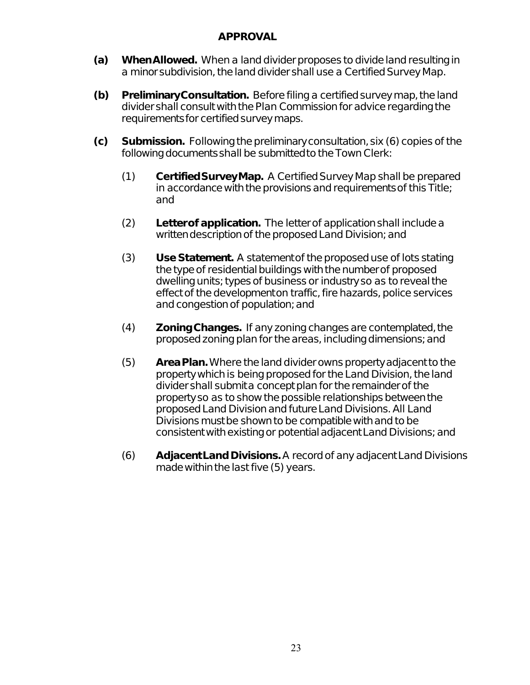#### **APPROVAL**

- **(a) When Allowed.** When a land divider proposes to divide land resulting in a minor subdivision, the land divider shall use a Certified Survey Map.
- **(b) Preliminary Consultation.** Before filing a certified survey map, the land divider shall consult with the Plan Commission for advice regarding the requirements for certified survey maps.
- **(c) Submission.** Following the preliminary consultation, six (6) copies of the following documents shall be submitted to the Town Clerk:
	- (1) **Certified Survey Map.** A Certified Survey Map shall be prepared in accordance with the provisions and requirements of this Title; and
	- (2) **Letter of application.** The letter of application shall include a written description of the proposed Land Division; and
	- (3) **Use Statement.** A statement of the proposed use of lots stating the type of residential buildings with the number of proposed dwelling units; types of business or industry so as to reveal the effect of the development on traffic, fire hazards, police services and congestion of population; and
	- (4) **Zoning Changes.** If any zoning changes are contemplated, the proposed zoning plan for the areas, including dimensions; and
	- (5) **Area Plan.** Where the land divider owns property adjacent to the property which is being proposed for the Land Division, the land divider shall submit a concept plan for the remainder of the property so as to show the possible relationships between the proposed Land Division and future Land Divisions. All Land Divisions must be shown to be compatible with and to be consistent with existing or potential adjacent Land Divisions; and
	- (6) **Adjacent Land Divisions.** A record of any adjacent Land Divisions made within the last five (5) years.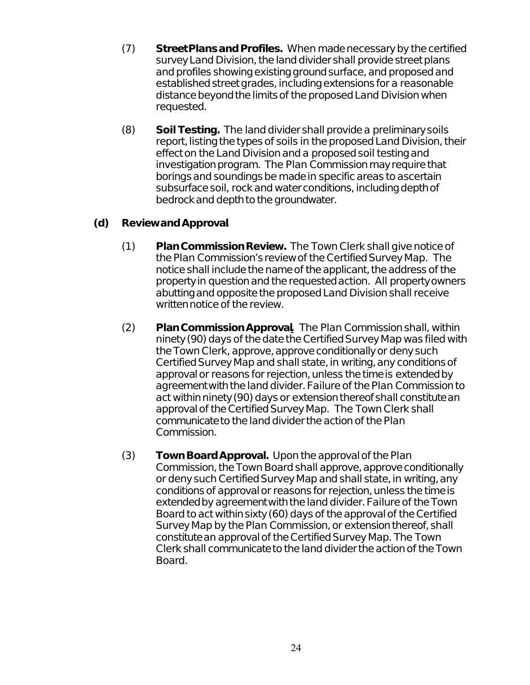- (7) **Street Plans and Profiles.** When made necessary by the certified survey Land Division, the land divider shall provide street plans and profiles showing existing ground surface, and proposed and established street grades, including extensions for a reasonable distance beyond the limits of the proposed Land Division when requested.
- (8) **Soil Testing.** The land divider shall provide a preliminary soils report, listing the types of soils in the proposed Land Division, their effect on the Land Division and a proposed soil testing and investigation program. The Plan Commission may require that borings and soundings be made in specific areas to ascertain subsurface soil, rock and water conditions, including depth of bedrock and depth to the groundwater.

#### **(d) Review and Approval**.

- (1) **Plan Commission Review.** The Town Clerk shall give notice of the Plan Commission's review of the Certified Survey Map. The notice shall include the name of the applicant, the address of the property in question and the requested action. All property owners abutting and opposite the proposed Land Division shall receive written notice of the review.
- (2) **Plan Commission Approval.** The Plan Commission shall, within ninety (90) days of the date the Certified Survey Map was filed with the Town Clerk, approve, approve conditionally or deny such Certified Survey Map and shall state, in writing, any conditions of approval or reasons for rejection, unless the time is extended by agreement with the land divider. Failure of the Plan Commission to act within ninety (90) days or extension thereof shall constitute an approval of the Certified Survey Map. The Town Clerk shall communicate to the land divider the action of the Plan Commission.
- (3) **Town Board Approval.** Upon the approval of the Plan Commission, the Town Board shall approve, approve conditionally or deny such Certified Survey Map and shall state, in writing, any conditions of approval or reasons for rejection, unless the time is extended by agreement with the land divider. Failure of the Town Board to act within sixty (60) days of the approval of the Certified Survey Map by the Plan Commission, or extension thereof, shall constitute an approval of the Certified Survey Map. The Town Clerk shall communicate to the land divider the action of the Town Board.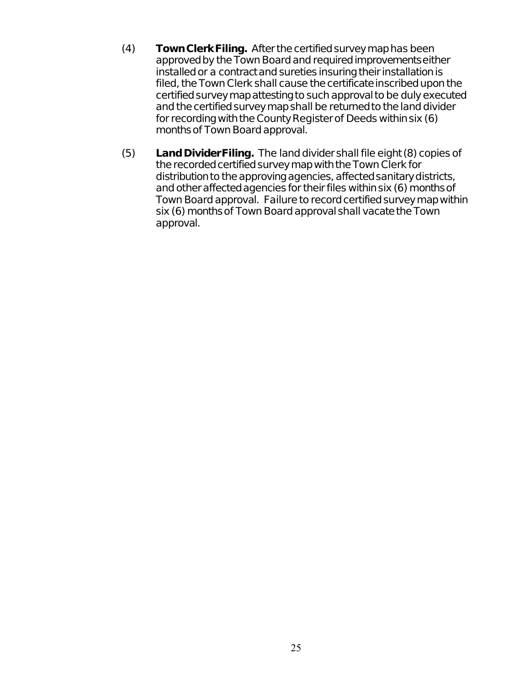- (4) **Town Clerk Filing.** After the certified survey map has been approved by the Town Board and required improvements either installed or a contract and sureties insuring their installation is filed, the Town Clerk shall cause the certificate inscribed upon the certified survey map attesting to such approval to be duly executed and the certified survey map shall be returned to the land divider for recording with the County Register of Deeds within six (6) months of Town Board approval.
- (5) **Land Divider Filing.** The land divider shall file eight (8) copies of the recorded certified survey map with the Town Clerk for distribution to the approving agencies, affected sanitary districts, and other affected agencies for their files within six (6) months of Town Board approval. Failure to record certified survey map within six (6) months of Town Board approval shall vacate the Town approval.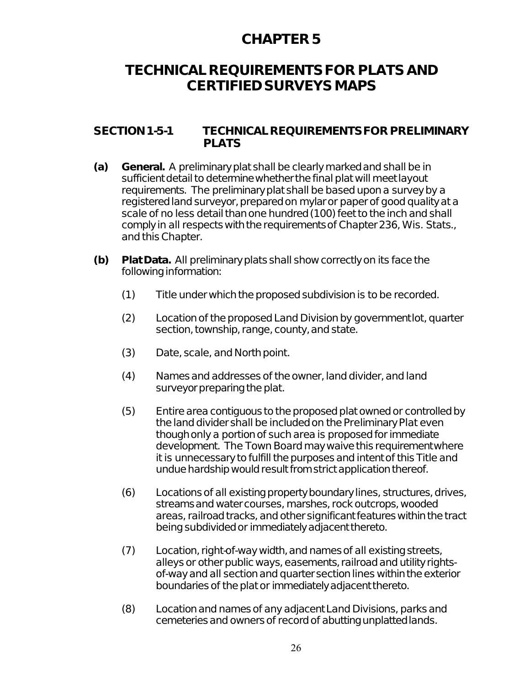# **TECHNICAL REQUIREMENTS FOR PLATS AND CERTIFIED SURVEYS MAPS**

#### **SECTION 1-5-1 TECHNICAL REQUIREMENTS FOR PRELIMINARY PLATS**

- **(a) General.** A preliminary plat shall be clearly marked and shall be in sufficient detail to determine whether the final plat will meet layout requirements. The preliminary plat shall be based upon a survey by a registered land surveyor, prepared on mylar or paper of good quality at a scale of no less detail than one hundred (100) feet to the inch and shall comply in all respects with the requirements of Chapter 236, Wis. Stats., and this Chapter.
- **(b) Plat Data.** All preliminary plats shall show correctly on its face the following information:
	- (1) Title under which the proposed subdivision is to be recorded.
	- (2) Location of the proposed Land Division by government lot, quarter section, township, range, county, and state.
	- (3) Date, scale, and North point.
	- (4) Names and addresses of the owner, land divider, and land surveyor preparing the plat.
	- (5) Entire area contiguous to the proposed plat owned or controlled by the land divider shall be included on the Preliminary Plat even though only a portion of such area is proposed for immediate development. The Town Board may waive this requirement where it is unnecessary to fulfill the purposes and intent of this Title and undue hardship would result from strict application thereof.
	- (6) Locations of all existing property boundary lines, structures, drives, streams and water courses, marshes, rock outcrops, wooded areas, railroad tracks, and other significant features within the tract being subdivided or immediately adjacent thereto.
	- (7) Location, right-of-way width, and names of all existing streets, alleys or other public ways, easements, railroad and utility rightsof-way and all section and quarter section lines within the exterior boundaries of the plat or immediately adjacent thereto.
	- (8) Location and names of any adjacent Land Divisions, parks and cemeteries and owners of record of abutting unplatted lands.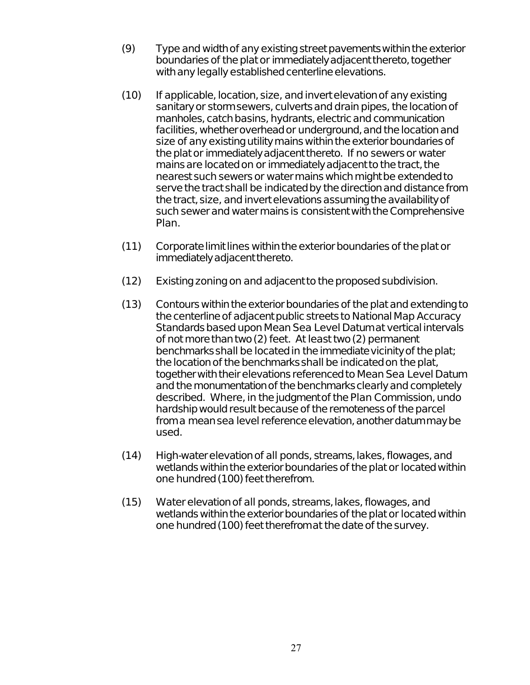- (9) Type and width of any existing street pavements within the exterior boundaries of the plat or immediately adjacent thereto, together with any legally established centerline elevations.
- (10) If applicable, location, size, and invert elevation of any existing sanitary or storm sewers, culverts and drain pipes, the location of manholes, catch basins, hydrants, electric and communication facilities, whether overhead or underground, and the location and size of any existing utility mains within the exterior boundaries of the plat or immediately adjacent thereto. If no sewers or water mains are located on or immediately adjacent to the tract, the nearest such sewers or water mains which might be extended to serve the tract shall be indicated by the direction and distance from the tract, size, and invert elevations assuming the availability of such sewer and water mains is consistent with the Comprehensive Plan.
- (11) Corporate limit lines within the exterior boundaries of the plat or immediately adjacent thereto.
- (12) Existing zoning on and adjacent to the proposed subdivision.
- (13) Contours within the exterior boundaries of the plat and extending to the centerline of adjacent public streets to National Map Accuracy Standards based upon Mean Sea Level Datum at vertical intervals of not more than two (2) feet. At least two (2) permanent benchmarks shall be located in the immediate vicinity of the plat; the location of the benchmarks shall be indicated on the plat, together with their elevations referenced to Mean Sea Level Datum and the monumentation of the benchmarks clearly and completely described. Where, in the judgment of the Plan Commission, undo hardship would result because of the remoteness of the parcel from a mean sea level reference elevation, another datum may be used.
- (14) High-water elevation of all ponds, streams, lakes, flowages, and wetlands within the exterior boundaries of the plat or located within one hundred (100) feet therefrom.
- (15) Water elevation of all ponds, streams, lakes, flowages, and wetlands within the exterior boundaries of the plat or located within one hundred (100) feet therefrom at the date of the survey.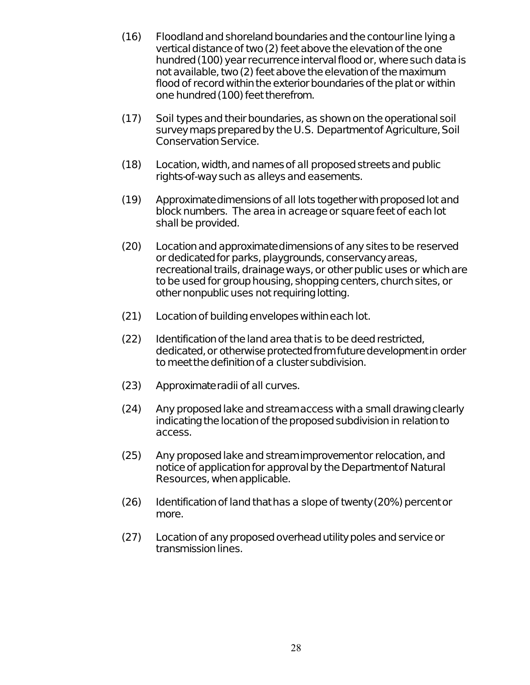- (16) Floodland and shoreland boundaries and the contour line lying a vertical distance of two (2) feet above the elevation of the one hundred (100) year recurrence interval flood or, where such data is not available, two (2) feet above the elevation of the maximum flood of record within the exterior boundaries of the plat or within one hundred (100) feet therefrom.
- (17) Soil types and their boundaries, as shown on the operational soil survey maps prepared by the U.S. Department of Agriculture, Soil Conservation Service.
- (18) Location, width, and names of all proposed streets and public rights-of-way such as alleys and easements.
- (19) Approximate dimensions of all lots together with proposed lot and block numbers. The area in acreage or square feet of each lot shall be provided.
- (20) Location and approximate dimensions of any sites to be reserved or dedicated for parks, playgrounds, conservancy areas, recreational trails, drainage ways, or other public uses or which are to be used for group housing, shopping centers, church sites, or other nonpublic uses not requiring lotting.
- (21) Location of building envelopes within each lot.
- (22) Identification of the land area that is to be deed restricted, dedicated, or otherwise protected from future development in order to meet the definition of a cluster subdivision.
- (23) Approximate radii of all curves.
- (24) Any proposed lake and stream access with a small drawing clearly indicating the location of the proposed subdivision in relation to access.
- (25) Any proposed lake and stream improvement or relocation, and notice of application for approval by the Department of Natural Resources, when applicable.
- (26) Identification of land that has a slope of twenty (20%) percent or more.
- (27) Location of any proposed overhead utility poles and service or transmission lines.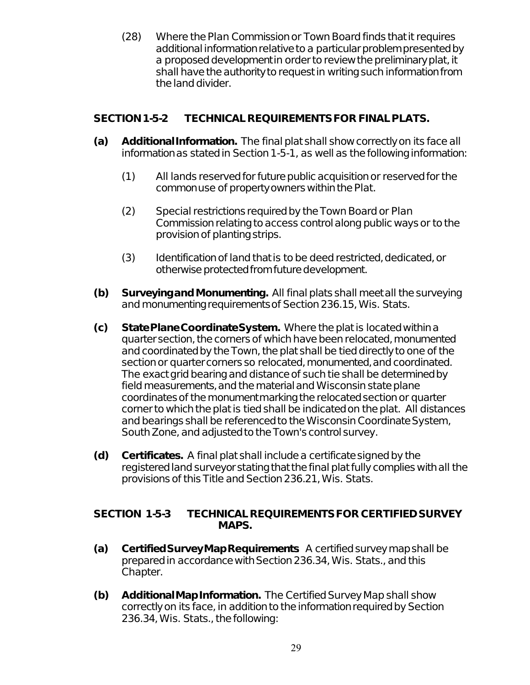(28) Where the Plan Commission or Town Board finds that it requires additional information relative to a particular problem presented by a proposed development in order to review the preliminary plat, it shall have the authority to request in writing such information from the land divider.

#### **SECTION 1-5-2 TECHNICAL REQUIREMENTS FOR FINAL PLATS.**

- **(a) Additional Information.** The final plat shall show correctly on its face all information as stated in Section 1-5-1, as well as the following information:
	- (1) All lands reserved for future public acquisition or reserved for the common use of property owners within the Plat.
	- (2) Special restrictions required by the Town Board or Plan Commission relating to access control along public ways or to the provision of planting strips.
	- (3) Identification of land that is to be deed restricted, dedicated, or otherwise protected from future development.
- **(b) Surveying and Monumenting.** All final plats shall meet all the surveying and monumenting requirements of Section 236.15, Wis. Stats.
- **(c) State Plane Coordinate System.** Where the plat is located within a quarter section, the corners of which have been relocated, monumented and coordinated by the Town, the plat shall be tied directly to one of the section or quarter corners so relocated, monumented, and coordinated. The exact grid bearing and distance of such tie shall be determined by field measurements, and the material and Wisconsin state plane coordinates of the monument marking the relocated section or quarter corner to which the plat is tied shall be indicated on the plat. All distances and bearings shall be referenced to the Wisconsin Coordinate System, South Zone, and adjusted to the Town's control survey.
- **(d) Certificates.** A final plat shall include a certificate signed by the registered land surveyor stating that the final plat fully complies with all the provisions of this Title and Section 236.21, Wis. Stats.

#### **SECTION 1-5-3 TECHNICAL REQUIREMENTS FOR CERTIFIED SURVEY MAPS.**

- **(a) Certified Survey Map Requirements**. A certified survey map shall be prepared in accordance with Section 236.34, Wis. Stats., and this Chapter.
- **(b) Additional Map Information.** The Certified Survey Map shall show correctly on its face, in addition to the information required by Section 236.34, Wis. Stats., the following: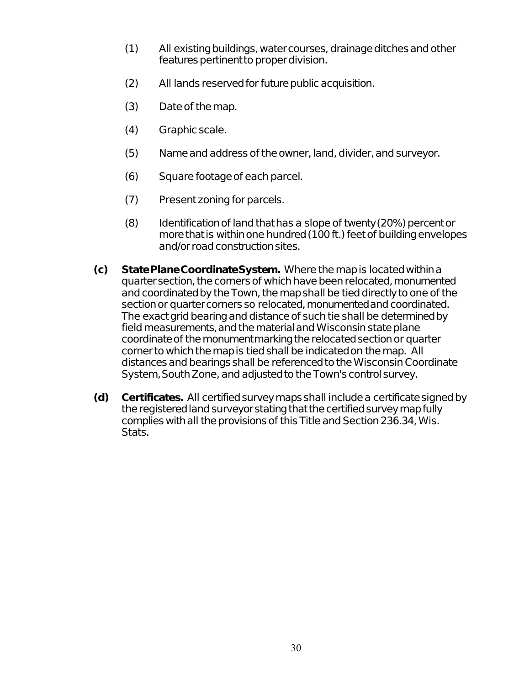- (1) All existing buildings, water courses, drainage ditches and other features pertinent to proper division.
- (2) All lands reserved for future public acquisition.
- (3) Date of the map.
- (4) Graphic scale.
- (5) Name and address of the owner, land, divider, and surveyor.
- (6) Square footage of each parcel.
- (7) Present zoning for parcels.
- (8) Identification of land that has a slope of twenty (20%) percent or more that is within one hundred (100 ft.) feet of building envelopes and/or road construction sites.
- **(c) State Plane Coordinate System.** Where the map is located within a quarter section, the corners of which have been relocated, monumented and coordinated by the Town, the map shall be tied directly to one of the section or quarter corners so relocated, monumented and coordinated. The exact grid bearing and distance of such tie shall be determined by field measurements, and the material and Wisconsin state plane coordinate of the monument marking the relocated section or quarter corner to which the map is tied shall be indicated on the map. All distances and bearings shall be referenced to the Wisconsin Coordinate System, South Zone, and adjusted to the Town's control survey.
- **(d) Certificates.** All certified survey maps shall include a certificate signed by the registered land surveyor stating that the certified survey map fully complies with all the provisions of this Title and Section 236.34, Wis. Stats.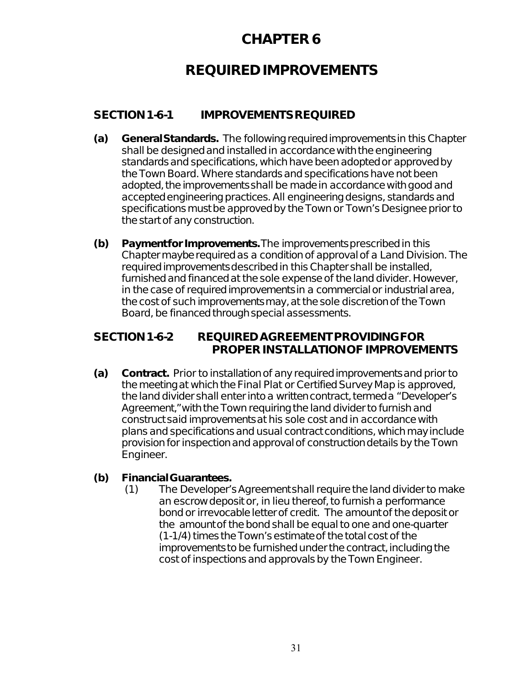# **REQUIRED IMPROVEMENTS**

### **SECTION 1-6-1 IMPROVEMENTS REQUIRED**

- **(a) General Standards.** The following required improvements in this Chapter shall be designed and installed in accordance with the engineering standards and specifications, which have been adopted or approved by the Town Board. Where standards and specifications have not been adopted, the improvements shall be made in accordance with good and accepted engineering practices. All engineering designs, standards and specifications must be approved by the Town or Town's Designee prior to the start of any construction.
- **(b) Payment for Improvements.** The improvements prescribed in this Chapter maybe required as a condition of approval of a Land Division. The required improvements described in this Chapter shall be installed, furnished and financed at the sole expense of the land divider. However, in the case of required improvements in a commercial or industrial area, the cost of such improvements may, at the sole discretion of the Town Board, be financed through special assessments.

#### **SECTION 1-6-2 REQUIRED AGREEMENT PROVIDING FOR PROPER INSTALLATION OF IMPROVEMENTS**

**(a) Contract.** Prior to installation of any required improvements and prior to the meeting at which the Final Plat or Certified Survey Map is approved, the land divider shall enter into a written contract, termed a "Developer's Agreement," with the Town requiring the land divider to furnish and construct said improvements at his sole cost and in accordance with plans and specifications and usual contract conditions, which may include provision for inspection and approval of construction details by the Town Engineer.

#### **(b) Financial Guarantees.**

(1) The Developer's Agreement shall require the land divider to make an escrow deposit or, in lieu thereof, to furnish a performance bond or irrevocable letter of credit. The amount of the deposit or the amount of the bond shall be equal to one and one-quarter (1-1/4) times the Town's estimate of the total cost of the improvements to be furnished under the contract, including the cost of inspections and approvals by the Town Engineer.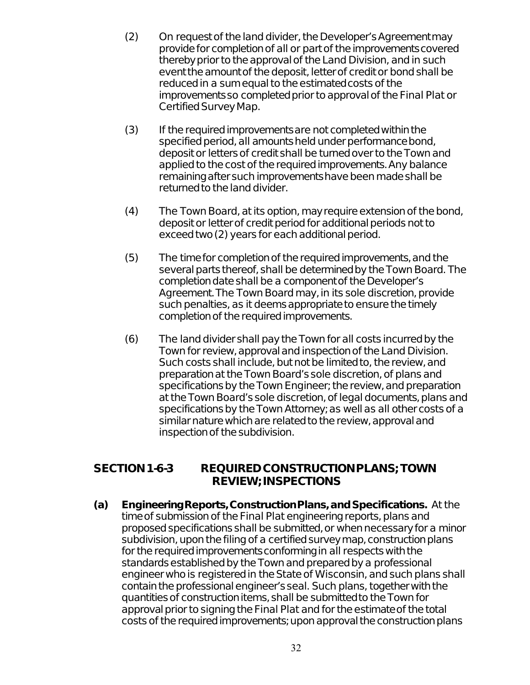- (2) On request of the land divider, the Developer's Agreement may provide for completion of all or part of the improvements covered thereby prior to the approval of the Land Division, and in such event the amount of the deposit, letter of credit or bond shall be reduced in a sum equal to the estimated costs of the improvements so completed prior to approval of the Final Plat or Certified Survey Map.
- (3) If the required improvements are not completed within the specified period, all amounts held under performance bond, deposit or letters of credit shall be turned over to the Town and applied to the cost of the required improvements. Any balance remaining after such improvements have been made shall be returned to the land divider.
- (4) The Town Board, at its option, may require extension of the bond, deposit or letter of credit period for additional periods not to exceed two (2) years for each additional period.
- (5) The time for completion of the required improvements, and the several parts thereof, shall be determined by the Town Board. The completion date shall be a component of the Developer's Agreement. The Town Board may, in its sole discretion, provide such penalties, as it deems appropriate to ensure the timely completion of the required improvements.
- (6) The land divider shall pay the Town for all costs incurred by the Town for review, approval and inspection of the Land Division. Such costs shall include, but not be limited to, the review, and preparation at the Town Board's sole discretion, of plans and specifications by the Town Engineer; the review, and preparation at the Town Board's sole discretion, of legal documents, plans and specifications by the Town Attorney; as well as all other costs of a similar nature which are related to the review, approval and inspection of the subdivision.

#### **SECTION 1-6-3 REQUIRED CONSTRUCTION PLANS; TOWN REVIEW; INSPECTIONS**

**(a) Engineering Reports, Construction Plans, and Specifications.** At the time of submission of the Final Plat engineering reports, plans and proposed specifications shall be submitted, or when necessary for a minor subdivision, upon the filing of a certified survey map, construction plans for the required improvements conforming in all respects with the standards established by the Town and prepared by a professional engineer who is registered in the State of Wisconsin, and such plans shall contain the professional engineer's seal. Such plans, together with the quantities of construction items, shall be submitted to the Town for approval prior to signing the Final Plat and for the estimate of the total costs of the required improvements; upon approval the construction plans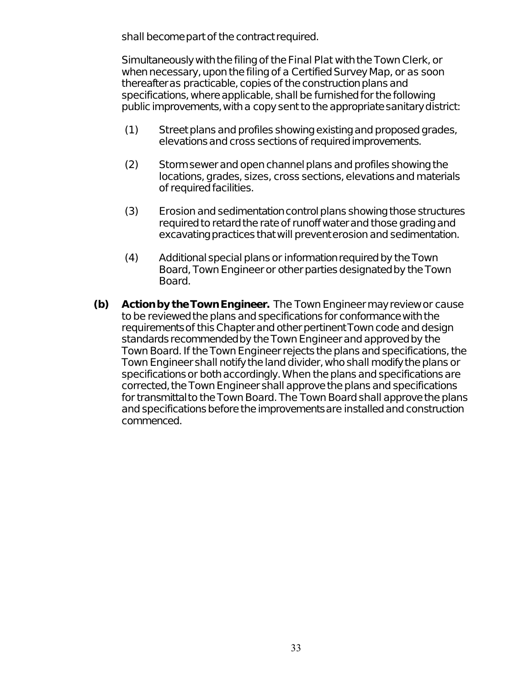shall become part of the contract required.

Simultaneously with the filing of the Final Plat with the Town Clerk, or when necessary, upon the filing of a Certified Survey Map, or as soon thereafter as practicable, copies of the construction plans and specifications, where applicable, shall be furnished for the following public improvements, with a copy sent to the appropriate sanitary district:

- (1) Street plans and profiles showing existing and proposed grades, elevations and cross sections of required improvements.
- (2) Storm sewer and open channel plans and profiles showing the locations, grades, sizes, cross sections, elevations and materials of required facilities.
- (3) Erosion and sedimentation control plans showing those structures required to retard the rate of runoff water and those grading and excavating practices that will prevent erosion and sedimentation.
- (4) Additional special plans or information required by the Town Board, Town Engineer or other parties designated by the Town Board.
- **(b) Action by the Town Engineer.** The Town Engineer may review or cause to be reviewed the plans and specifications for conformance with the requirements of this Chapter and other pertinent Town code and design standards recommended by the Town Engineer and approved by the Town Board. If the Town Engineer rejects the plans and specifications, the Town Engineer shall notify the land divider, who shall modify the plans or specifications or both accordingly. When the plans and specifications are corrected, the Town Engineer shall approve the plans and specifications for transmittal to the Town Board. The Town Board shall approve the plans and specifications before the improvements are installed and construction commenced.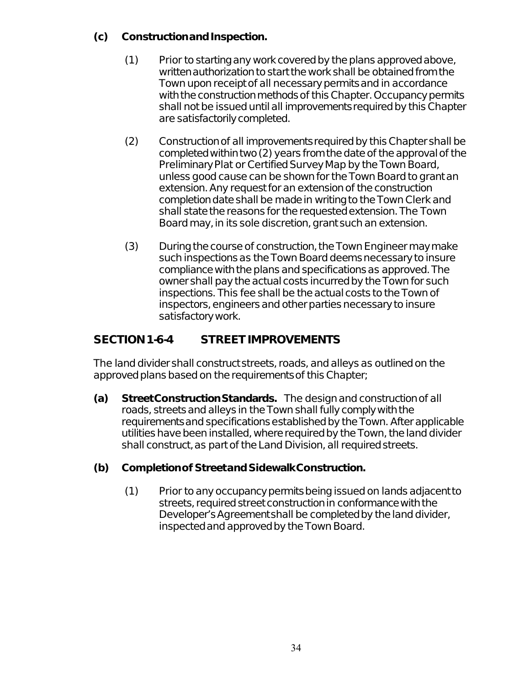#### **(c) Construction and Inspection.**

- (1) Prior to starting any work covered by the plans approved above, written authorization to start the work shall be obtained from the Town upon receipt of all necessary permits and in accordance with the construction methods of this Chapter. Occupancy permits shall not be issued until all improvements required by this Chapter are satisfactorily completed.
- (2) Construction of all improvements required by this Chapter shall be completed within two (2) years from the date of the approval of the Preliminary Plat or Certified Survey Map by the Town Board, unless good cause can be shown for the Town Board to grant an extension. Any request for an extension of the construction completion date shall be made in writing to the Town Clerk and shall state the reasons for the requested extension. The Town Board may, in its sole discretion, grant such an extension.
- (3) During the course of construction, the Town Engineer may make such inspections as the Town Board deems necessary to insure compliance with the plans and specifications as approved. The owner shall pay the actual costs incurred by the Town for such inspections. This fee shall be the actual costs to the Town of inspectors, engineers and other parties necessary to insure satisfactory work.

# **SECTION 1-6-4 STREET IMPROVEMENTS**

The land divider shall construct streets, roads, and alleys as outlined on the approved plans based on the requirements of this Chapter;

**(a) Street Construction Standards.** The design and construction of all roads, streets and alleys in the Town shall fully comply with the requirements and specifications established by the Town. After applicable utilities have been installed, where required by the Town, the land divider shall construct, as part of the Land Division, all required streets.

### **(b) Completion of Street and Sidewalk Construction.**

(1) Prior to any occupancy permits being issued on lands adjacent to streets, required street construction in conformance with the Developer's Agreement shall be completed by the land divider, inspected and approved by the Town Board.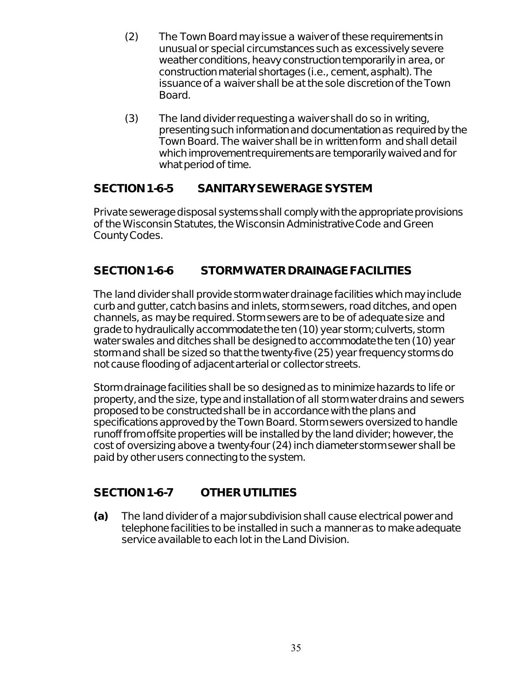- (2) The Town Board may issue a waiver of these requirements in unusual or special circumstances such as excessively severe weather conditions, heavy construction temporarily in area, or construction material shortages (i.e., cement, asphalt). The issuance of a waiver shall be at the sole discretion of the Town Board.
- (3) The land divider requesting a waiver shall do so in writing, presenting such information and documentation as required by the Town Board. The waiver shall be in written form and shall detail which improvement requirements are temporarily waived and for what period of time.

### **SECTION 1-6-5 SANITARY SEWERAGE SYSTEM**

Private sewerage disposal systems shall comply with the appropriate provisions of the Wisconsin Statutes, the Wisconsin Administrative Code and Green County Codes.

### **SECTION 1-6-6 STORM WATER DRAINAGE FACILITIES**

The land divider shall provide storm water drainage facilities which may include curb and gutter, catch basins and inlets, storm sewers, road ditches, and open channels, as may be required. Storm sewers are to be of adequate size and grade to hydraulically accommodate the ten (10) year storm; culverts, storm water swales and ditches shall be designed to accommodate the ten (10) year storm and shall be sized so that the twenty-five (25) year frequency storms do not cause flooding of adjacent arterial or collector streets.

Storm drainage facilities shall be so designed as to minimize hazards to life or property, and the size, type and installation of all storm water drains and sewers proposed to be constructed shall be in accordance with the plans and specifications approved by the Town Board. Storm sewers oversized to handle runoff from offsite properties will be installed by the land divider; however, the cost of oversizing above a twenty-four (24) inch diameter storm sewer shall be paid by other users connecting to the system.

### **SECTION 1-6-7 OTHER UTILITIES**

**(a)** The land divider of a major subdivision shall cause electrical power and telephone facilities to be installed in such a manner as to make adequate service available to each lot in the Land Division.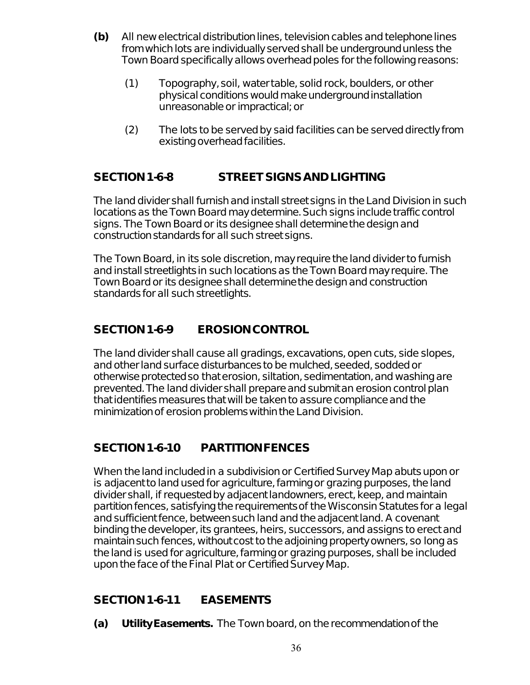- **(b)** All new electrical distribution lines, television cables and telephone lines from which lots are individually served shall be underground unless the Town Board specifically allows overhead poles for the following reasons:
	- (1) Topography, soil, water table, solid rock, boulders, or other physical conditions would make underground installation unreasonable or impractical; or
	- (2) The lots to be served by said facilities can be served directly from existing overhead facilities.

# **SECTION 1-6-8 STREET SIGNS AND LIGHTING**

The land divider shall furnish and install street signs in the Land Division in such locations as the Town Board may determine. Such signs include traffic control signs. The Town Board or its designee shall determine the design and construction standards for all such street signs.

The Town Board, in its sole discretion, may require the land divider to furnish and install streetlights in such locations as the Town Board may require. The Town Board or its designee shall determine the design and construction standards for all such streetlights.

# **SECTION 1-6-9 EROSION CONTROL**

The land divider shall cause all gradings, excavations, open cuts, side slopes, and other land surface disturbances to be mulched, seeded, sodded or otherwise protected so that erosion, siltation, sedimentation, and washing are prevented. The land divider shall prepare and submit an erosion control plan that identifies measures that will be taken to assure compliance and the minimization of erosion problems within the Land Division.

### **SECTION 1-6-10 PARTITION FENCES**

When the land included in a subdivision or Certified Survey Map abuts upon or is adjacent to land used for agriculture, farming or grazing purposes, the land divider shall, if requested by adjacent landowners, erect, keep, and maintain partition fences, satisfying the requirements of the Wisconsin Statutes for a legal and sufficient fence, between such land and the adjacent land. A covenant binding the developer, its grantees, heirs, successors, and assigns to erect and maintain such fences, without cost to the adjoining property owners, so long as the land is used for agriculture, farming or grazing purposes, shall be included upon the face of the Final Plat or Certified Survey Map.

### **SECTION 1-6-11 EASEMENTS**

**(a) Utility Easements.** The Town board, on the recommendation of the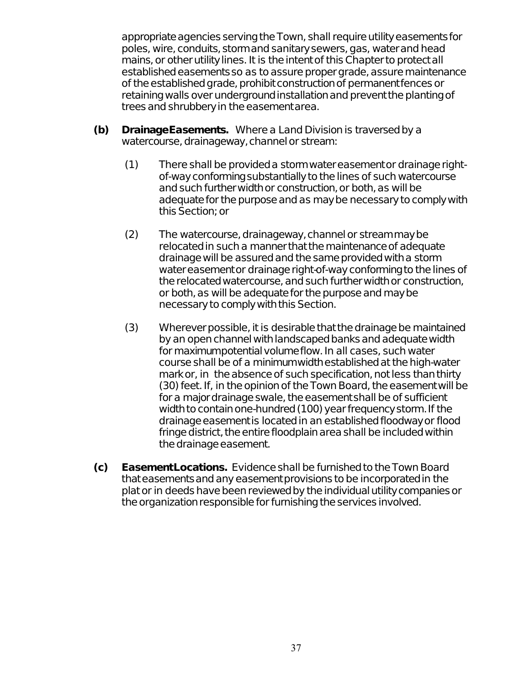appropriate agencies serving the Town, shall require utility easements for poles, wire, conduits, storm and sanitary sewers, gas, water and head mains, or other utility lines. It is the intent of this Chapter to protect all established easements so as to assure proper grade, assure maintenance of the established grade, prohibit construction of permanent fences or retaining walls over underground installation and prevent the planting of trees and shrubbery in the easement area.

- **(b) Drainage Easements.** Where a Land Division is traversed by a watercourse, drainageway, channel or stream:
	- (1) There shall be provided a storm water easement or drainage rightof-way conforming substantially to the lines of such watercourse and such further width or construction, or both, as will be adequate for the purpose and as may be necessary to comply with this Section; or
	- (2) The watercourse, drainageway, channel or stream may be relocated in such a manner that the maintenance of adequate drainage will be assured and the same provided with a storm water easement or drainage right-of-way conforming to the lines of the relocated watercourse, and such further width or construction, or both, as will be adequate for the purpose and may be necessary to comply with this Section.
	- (3) Wherever possible, it is desirable that the drainage be maintained by an open channel with landscaped banks and adequate width for maximumpotential volume flow. In all cases, such water course shall be of a minimum width established at the high-water mark or, in the absence of such specification, not less than thirty (30) feet. If, in the opinion of the Town Board, the easement will be for a major drainage swale, the easement shall be of sufficient width to contain one-hundred (100) year frequency storm. If the drainage easement is located in an established floodway or flood fringe district, the entire floodplain area shall be included within the drainage easement.
- **(c) Easement Locations.** Evidence shall be furnished to the Town Board that easements and any easement provisions to be incorporated in the plat or in deeds have been reviewed by the individual utility companies or the organization responsible for furnishing the services involved.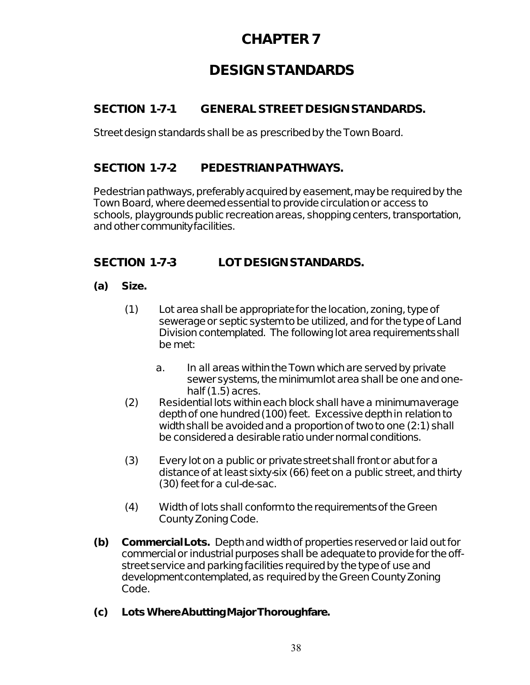# **DESIGN STANDARDS**

# **SECTION 1-7-1 GENERAL STREET DESIGN STANDARDS.**

Street design standards shall be as prescribed by the Town Board.

### **SECTION 1-7-2 PEDESTRIAN PATHWAYS.**

Pedestrian pathways, preferably acquired by easement, may be required by the Town Board, where deemed essential to provide circulation or access to schools, playgrounds public recreation areas, shopping centers, transportation, and other community facilities.

### **SECTION 1-7-3 LOT DESIGN STANDARDS.**

#### **(a) Size.**

- (1) Lot area shall be appropriate for the location, zoning, type of sewerage or septic system to be utilized, and for the type of Land Division contemplated. The following lot area requirements shall be met:
	- a. In all areas within the Town which are served by private sewer systems, the minimum lot area shall be one and onehalf  $(1.5)$  acres.
- (2) Residential lots within each block shall have a minimum average depth of one hundred (100) feet. Excessive depth in relation to width shall be avoided and a proportion of two to one (2:1) shall be considered a desirable ratio under normal conditions.
- (3) Every lot on a public or private street shall front or abut for a distance of at least sixty-six (66) feet on a public street, and thirty (30) feet for a cul-de-sac.
- (4) Width of lots shall conform to the requirements of the Green County Zoning Code.
- **(b) Commercial Lots.** Depth and width of properties reserved or laid out for commercial or industrial purposes shall be adequate to provide for the offstreet service and parking facilities required by the type of use and development contemplated, as required by the Green County Zoning Code.
- **(c) Lots Where Abutting Major Thoroughfare.**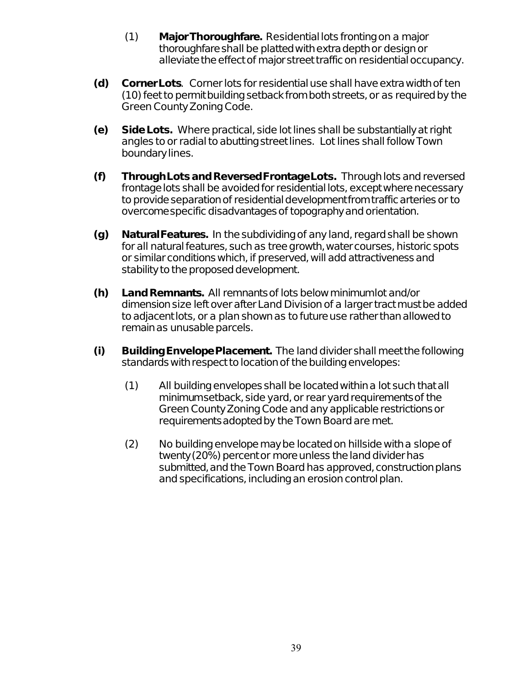- (1) **Major Thoroughfare.** Residential lots fronting on a major thoroughfare shall be platted with extra depth or design or alleviate the effect of major street traffic on residential occupancy.
- **(d) Corner Lots**. Corner lots for residential use shall have extra width of ten (10) feet to permit building setback from both streets, or as required by the Green County Zoning Code.
- **(e) Side Lots.** Where practical, side lot lines shall be substantially at right angles to or radial to abutting street lines. Lot lines shall follow Town boundary lines.
- **(f) Through Lots and Reversed Frontage Lots.** Through lots and reversed frontage lots shall be avoided for residential lots, except where necessary to provide separation of residential development from traffic arteries or to overcome specific disadvantages of topography and orientation.
- **(g) Natural Features.** In the subdividing of any land, regard shall be shown for all natural features, such as tree growth, water courses, historic spots or similar conditions which, if preserved, will add attractiveness and stability to the proposed development.
- **(h) Land Remnants.** All remnants of lots below minimum lot and/or dimension size left over after Land Division of a larger tract must be added to adjacent lots, or a plan shown as to future use rather than allowed to remain as unusable parcels.
- **(i) Building Envelope Placement.** The land divider shall meet the following standards with respect to location of the building envelopes:
	- (1) All building envelopes shall be located within a lot such that all minimum setback, side yard, or rear yard requirements of the Green County Zoning Code and any applicable restrictions or requirements adopted by the Town Board are met.
	- (2) No building envelope may be located on hillside with a slope of twenty (20%) percent or more unless the land divider has submitted, and the Town Board has approved, construction plans and specifications, including an erosion control plan.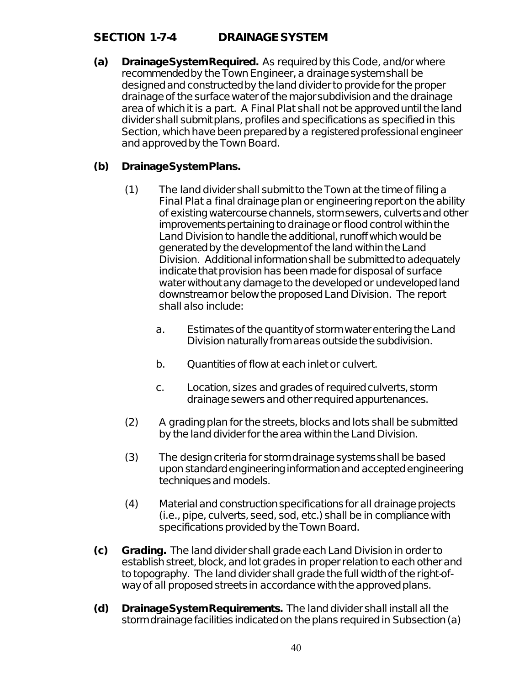### **SECTION 1-7-4 DRAINAGE SYSTEM**

**(a) Drainage System Required.** As required by this Code, and/or where recommended by the Town Engineer, a drainage system shall be designed and constructed by the land divider to provide for the proper drainage of the surface water of the major subdivision and the drainage area of which it is a part. A Final Plat shall not be approved until the land divider shall submit plans, profiles and specifications as specified in this Section, which have been prepared by a registered professional engineer and approved by the Town Board.

#### **(b) Drainage System Plans.**

- (1) The land divider shall submit to the Town at the time of filing a Final Plat a final drainage plan or engineering report on the ability of existing watercourse channels, storm sewers, culverts and other improvements pertaining to drainage or flood control within the Land Division to handle the additional, runoff which would be generated by the development of the land within the Land Division. Additional information shall be submitted to adequately indicate that provision has been made for disposal of surface water without any damage to the developed or undeveloped land downstream or below the proposed Land Division. The report shall also include:
	- a. Estimates of the quantity of storm water entering the Land Division naturally from areas outside the subdivision.
	- b. Quantities of flow at each inlet or culvert.
	- c. Location, sizes and grades of required culverts, storm drainage sewers and other required appurtenances.
- (2) A grading plan for the streets, blocks and lots shall be submitted by the land divider for the area within the Land Division.
- (3) The design criteria for storm drainage systems shall be based upon standard engineering information and accepted engineering techniques and models.
- (4) Material and construction specifications for all drainage projects (i.e., pipe, culverts, seed, sod, etc.) shall be in compliance with specifications provided by the Town Board.
- **(c) Grading.** The land divider shall grade each Land Division in order to establish street, block, and lot grades in proper relation to each other and to topography. The land divider shall grade the full width of the right-ofway of all proposed streets in accordance with the approved plans.
- **(d) Drainage System Requirements.** The land divider shall install all the storm drainage facilities indicated on the plans required in Subsection (a)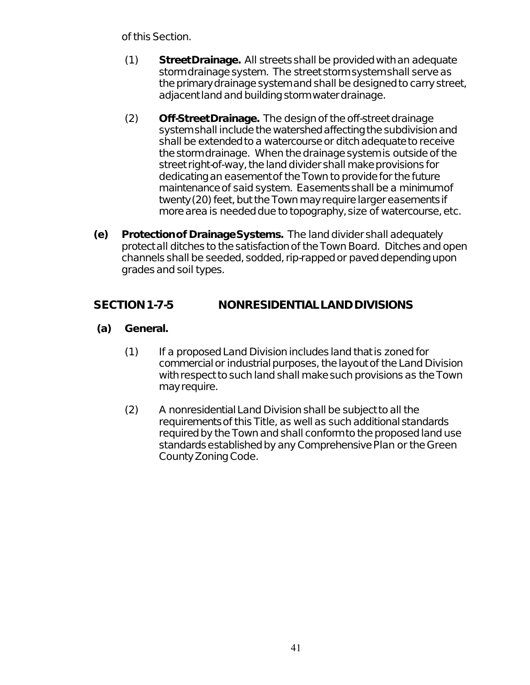of this Section.

- (1) **Street Drainage.** All streets shall be provided with an adequate storm drainage system. The street storm system shall serve as the primary drainage system and shall be designed to carry street, adjacent land and building storm water drainage.
- (2) **Off-Street Drainage.** The design of the off-street drainage system shall include the watershed affecting the subdivision and shall be extended to a watercourse or ditch adequate to receive the storm drainage. When the drainage system is outside of the street right-of-way, the land divider shall make provisions for dedicating an easement of the Town to provide for the future maintenance of said system. Easements shall be a minimum of twenty (20) feet, but the Town may require larger easements if more area is needed due to topography, size of watercourse, etc.
- **(e) Protection of Drainage Systems.** The land divider shall adequately protect all ditches to the satisfaction of the Town Board. Ditches and open channels shall be seeded, sodded, rip-rapped or paved depending upon grades and soil types.

### **SECTION 1-7-5 NONRESIDENTIAL LAND DIVISIONS**

- **(a) General.**
	- (1) If a proposed Land Division includes land that is zoned for commercial or industrial purposes, the layout of the Land Division with respect to such land shall make such provisions as the Town may require.
	- (2) A nonresidential Land Division shall be subject to all the requirements of this Title, as well as such additional standards required by the Town and shall conform to the proposed land use standards established by any Comprehensive Plan or the Green County Zoning Code.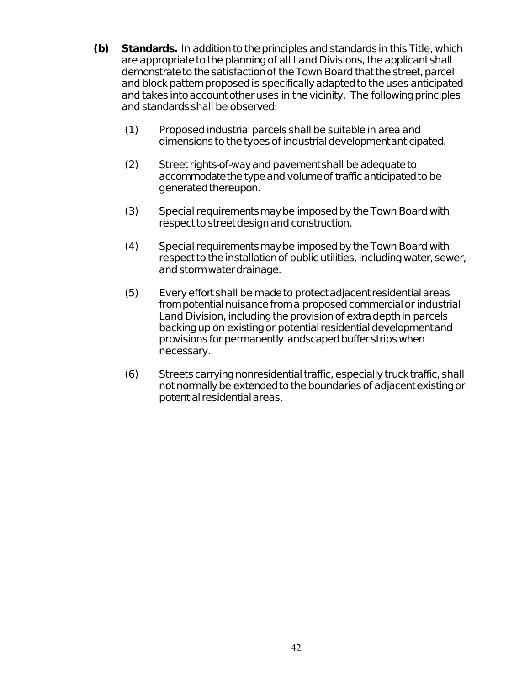- **(b) Standards.** In addition to the principles and standards in this Title, which are appropriate to the planning of all Land Divisions, the applicant shall demonstrate to the satisfaction of the Town Board that the street, parcel and block pattern proposed is specifically adapted to the uses anticipated and takes into account other uses in the vicinity. The following principles and standards shall be observed:
	- (1) Proposed industrial parcels shall be suitable in area and dimensions to the types of industrial development anticipated.
	- (2) Street rights-of-way and pavement shall be adequate to accommodate the type and volume of traffic anticipated to be generated thereupon.
	- (3) Special requirements may be imposed by the Town Board with respect to street design and construction.
	- (4) Special requirements may be imposed by the Town Board with respect to the installation of public utilities, including water, sewer, and storm water drainage.
	- (5) Every effort shall be made to protect adjacent residential areas from potential nuisance from a proposed commercial or industrial Land Division, including the provision of extra depth in parcels backing up on existing or potential residential development and provisions for permanently landscaped buffer strips when necessary.
	- (6) Streets carrying nonresidential traffic, especially truck traffic, shall not normally be extended to the boundaries of adjacent existing or potential residential areas.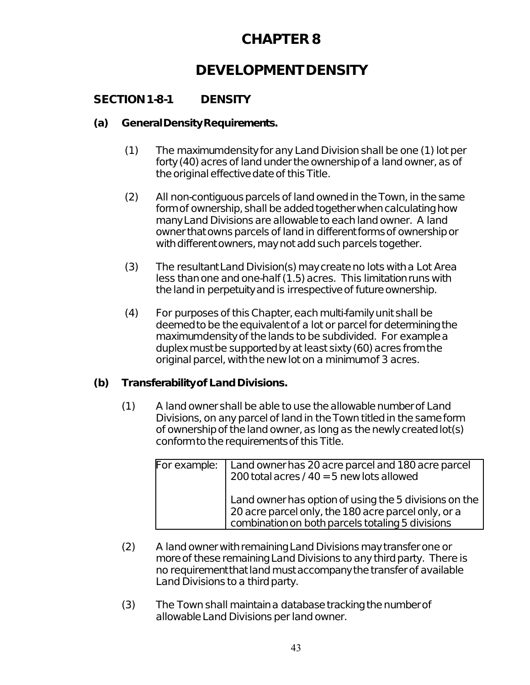# **DEVELOPMENT DENSITY**

# **SECTION 1-8-1 DENSITY**

#### **(a) General Density Requirements.**

- (1) The maximum density for any Land Division shall be one (1) lot per forty (40) acres of land under the ownership of a land owner, as of the original effective date of this Title.
- (2) All non-contiguous parcels of land owned in the Town, in the same form of ownership, shall be added together when calculating how many Land Divisions are allowable to each land owner. A land owner that owns parcels of land in different forms of ownership or with different owners, may not add such parcels together.
- (3) The resultant Land Division(s) may create no lots with a Lot Area less than one and one-half (1.5) acres. This limitation runs with the land in perpetuity and is irrespective of future ownership.
- (4) For purposes of this Chapter, each multi-family unit shall be deemed to be the equivalent of a lot or parcel for determining the maximum density of the lands to be subdivided. For example a duplex must be supported by at least sixty (60) acres from the original parcel, with the new lot on a minimum of 3 acres.

#### **(b) Transferability of Land Divisions.**

(1) A land owner shall be able to use the allowable number of Land Divisions, on any parcel of land in the Town titled in the same form of ownership of the land owner, as long as the newly created lot(s) conform to the requirements of this Title.

| For example: | Land owner has 20 acre parcel and 180 acre parcel<br>200 total acres / $40 = 5$ new lots allowed                                                                 |
|--------------|------------------------------------------------------------------------------------------------------------------------------------------------------------------|
|              | Land owner has option of using the 5 divisions on the<br>20 acre parcel only, the 180 acre parcel only, or a<br>combination on both parcels totaling 5 divisions |

- (2) A land owner with remaining Land Divisions may transfer one or more of these remaining Land Divisions to any third party. There is no requirement that land must accompany the transfer of available Land Divisions to a third party.
- (3) The Town shall maintain a database tracking the number of allowable Land Divisions per land owner.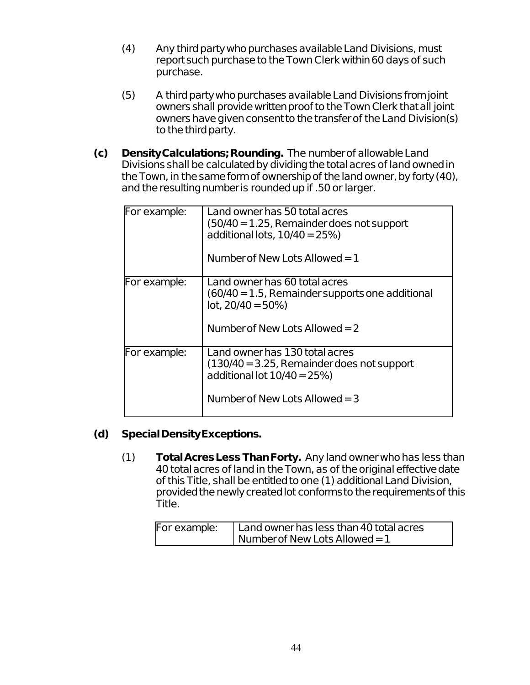- (4) Any third party who purchases available Land Divisions, must report such purchase to the Town Clerk within 60 days of such purchase.
- (5) A third party who purchases available Land Divisions from joint owners shall provide written proof to the Town Clerk that all joint owners have given consent to the transfer of the Land Division(s) to the third party.
- **(c) Density Calculations; Rounding.** The number of allowable Land Divisions shall be calculated by dividing the total acres of land owned in the Town, in the same form of ownership of the land owner, by forty (40), and the resulting number is rounded up if .50 or larger.

| For example: | Land owner has 50 total acres<br>$(50/40 = 1.25$ , Remainder does not support<br>additional lots, $10/40 = 25\%$ ) |
|--------------|--------------------------------------------------------------------------------------------------------------------|
|              | Number of New Lots Allowed $=1$                                                                                    |
| For example: | Land owner has 60 total acres                                                                                      |
|              | $(60/40 = 1.5$ , Remainder supports one additional<br>$lot, 20/40 = 50\%)$                                         |
|              | Number of New Lots Allowed $=$ 2                                                                                   |
| For example: | Land owner has 130 total acres                                                                                     |
|              | $(130/40 = 3.25$ , Remainder does not support<br>additional lot $10/40 = 25\%$ )                                   |
|              | Number of New Lots Allowed $=$ 3                                                                                   |

#### **(d) Special Density Exceptions.**

(1) **Total Acres Less Than Forty.** Any land owner who has less than 40 total acres of land in the Town, as of the original effective date of this Title, shall be entitled to one (1) additional Land Division, provided the newly created lot conforms to the requirements of this Title.

| For example: | Land owner has less than 40 total acres |
|--------------|-----------------------------------------|
|              | I Number of New Lots Allowed = $1$      |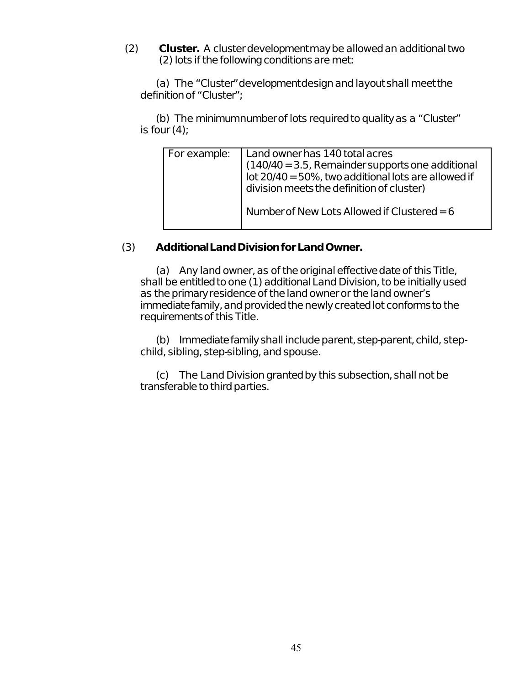(2) **Cluster.** A cluster development may be allowed an additional two (2) lots if the following conditions are met:

(a) The "Cluster" development design and layout shall meet the definition of "Cluster";

(b) The minimum number of lots required to quality as a "Cluster" is four  $(4)$ :

| For example: | Land owner has 140 total acres<br>(140/40 = 3.5, Remainder supports one additional<br>lot 20/40 = 50%, two additional lots are allowed if<br>division meets the definition of cluster) |
|--------------|----------------------------------------------------------------------------------------------------------------------------------------------------------------------------------------|
|              | Number of New Lots Allowed if Clustered = 6                                                                                                                                            |

#### (3) **Additional Land Division for Land Owner.**

(a) Any land owner, as of the original effective date of this Title, shall be entitled to one (1) additional Land Division, to be initially used as the primary residence of the land owner or the land owner's immediate family, and provided the newly created lot conforms to the requirements of this Title.

(b) Immediate family shall include parent, step-parent, child, stepchild, sibling, step-sibling, and spouse.

(c) The Land Division granted by this subsection, shall not be transferable to third parties.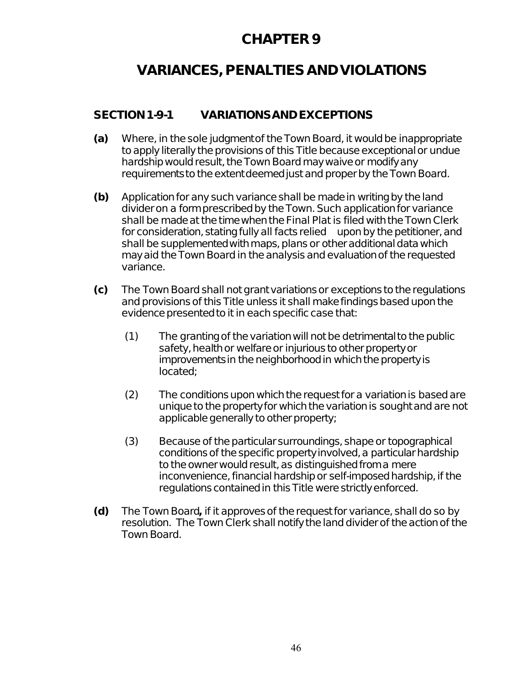# **VARIANCES, PENALTIES AND VIOLATIONS**

### **SECTION 1-9-1 VARIATIONS AND EXCEPTIONS**

- **(a)** Where, in the sole judgment of the Town Board, it would be inappropriate to apply literally the provisions of this Title because exceptional or undue hardship would result, the Town Board may waive or modify any requirements to the extent deemed just and proper by the Town Board.
- **(b)** Application for any such variance shall be made in writing by the land divider on a form prescribed by the Town. Such application for variance shall be made at the time when the Final Plat is filed with the Town Clerk for consideration, stating fully all facts relied upon by the petitioner, and shall be supplemented with maps, plans or other additional data which may aid the Town Board in the analysis and evaluation of the requested variance.
- **(c)** The Town Board shall not grant variations or exceptions to the regulations and provisions of this Title unless it shall make findings based upon the evidence presented to it in each specific case that:
	- (1) The granting of the variation will not be detrimental to the public safety, health or welfare or injurious to other property or improvements in the neighborhood in which the property is located;
	- (2) The conditions upon which the request for a variation is based are unique to the property for which the variation is sought and are not applicable generally to other property;
	- (3) Because of the particular surroundings, shape or topographical conditions of the specific property involved, a particular hardship to the owner would result, as distinguished from a mere inconvenience, financial hardship or self-imposed hardship, if the regulations contained in this Title were strictly enforced.
- **(d)** The Town Board**,** if it approves of the request for variance, shall do so by resolution. The Town Clerk shall notify the land dividerof the action of the Town Board.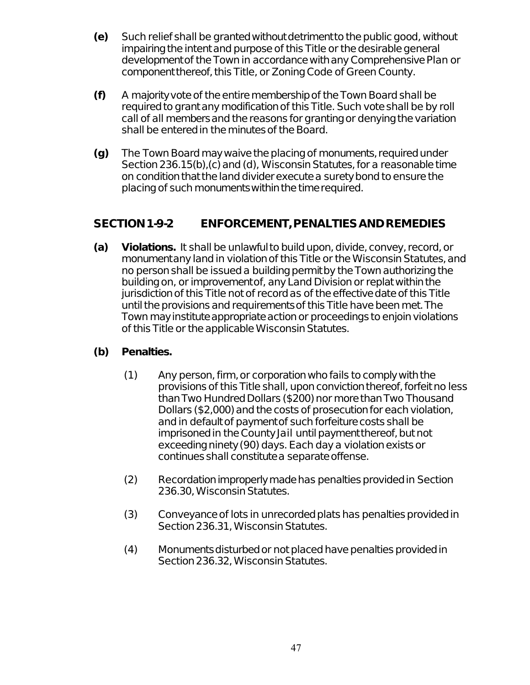- **(e)** Such relief shall be granted without detriment to the public good, without impairing the intent and purpose of this Title or the desirable general development of the Town in accordance with any Comprehensive Plan or component thereof, this Title, or Zoning Code of Green County.
- **(f)** A majority vote of the entire membership of the Town Board shall be required to grant any modification of this Title. Such vote shall be by roll call of all members and the reasons for granting or denying the variation shall be entered in the minutes of the Board.
- **(g)** The Town Board may waive the placing of monuments, required under Section 236.15(b),(c) and (d), Wisconsin Statutes, for a reasonable time on condition that the land divider execute a surety bond to ensure the placing of such monuments within the time required.

### **SECTION 1-9-2 ENFORCEMENT, PENALTIES AND REMEDIES**

**(a) Violations.** It shall be unlawful to build upon, divide, convey, record, or monument any land in violation of this Title or the Wisconsin Statutes, and no person shall be issued a building permit by the Town authorizing the building on, or improvement of, any Land Division or replat within the jurisdiction of this Title not of record as of the effective date of this Title until the provisions and requirements of this Title have been met. The Town may institute appropriate action or proceedings to enjoin violations of this Title or the applicable Wisconsin Statutes.

#### **(b) Penalties.**

- (1) Any person, firm, or corporation who fails to comply with the provisions of this Title shall, upon conviction thereof, forfeit no less than Two Hundred Dollars (\$200) nor more than Two Thousand Dollars (\$2,000) and the costs of prosecution for each violation, and in default of payment of such forfeiture costs shall be imprisoned in the County Jail until payment thereof, but not exceeding ninety (90) days. Each day a violation exists or continues shall constitute a separate offense.
- (2) Recordation improperly made has penalties provided in Section 236.30, Wisconsin Statutes.
- (3) Conveyance of lots in unrecorded plats has penalties provided in Section 236.31, Wisconsin Statutes.
- (4) Monuments disturbed or not placed have penalties provided in Section 236.32, Wisconsin Statutes.